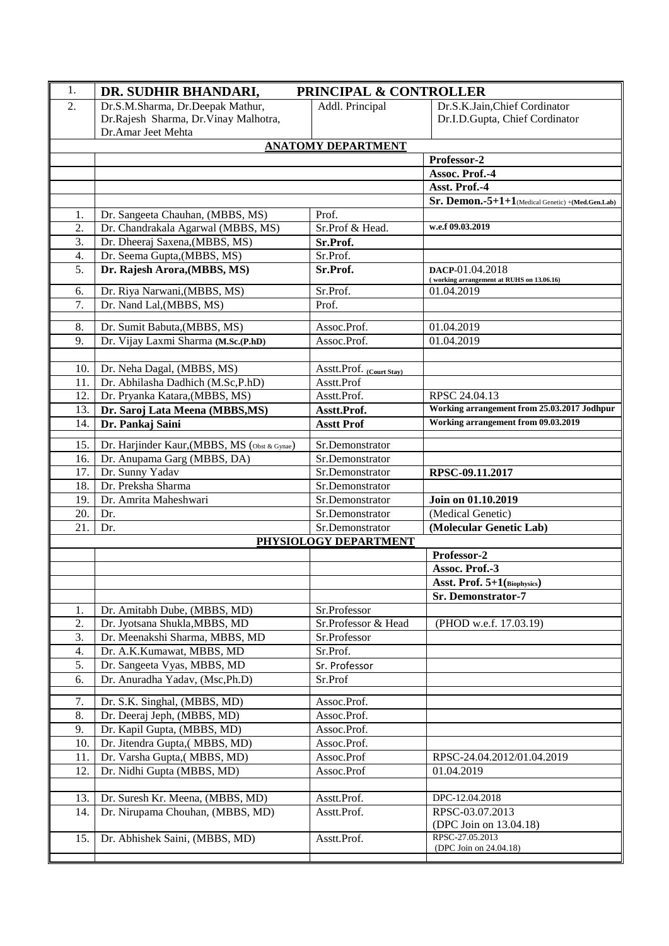| 1.  | DR. SUDHIR BHANDARI,                         | PRINCIPAL & CONTROLLER    |                                                              |
|-----|----------------------------------------------|---------------------------|--------------------------------------------------------------|
| 2.  | Dr.S.M.Sharma, Dr.Deepak Mathur,             | Addl. Principal           | Dr.S.K.Jain, Chief Cordinator                                |
|     | Dr.Rajesh Sharma, Dr.Vinay Malhotra,         |                           | Dr.I.D.Gupta, Chief Cordinator                               |
|     | Dr.Amar Jeet Mehta                           |                           |                                                              |
|     |                                              | <b>ANATOMY DEPARTMENT</b> |                                                              |
|     |                                              |                           | Professor-2                                                  |
|     |                                              |                           | Assoc. Prof.-4                                               |
|     |                                              |                           | Asst. Prof.-4                                                |
|     |                                              |                           | Sr. Demon.-5+1+1(Medical Genetic) +(Med.Gen.Lab)             |
| 1.  | Dr. Sangeeta Chauhan, (MBBS, MS)             | Prof.                     |                                                              |
| 2.  | Dr. Chandrakala Agarwal (MBBS, MS)           | Sr.Prof & Head.           | w.e.f 09.03.2019                                             |
| 3.  | Dr. Dheeraj Saxena, (MBBS, MS)               | Sr.Prof.                  |                                                              |
| 4.  | Dr. Seema Gupta, (MBBS, MS)                  | Sr.Prof.                  |                                                              |
| 5.  | Dr. Rajesh Arora, (MBBS, MS)                 | Sr.Prof.                  | DACP-01.04.2018<br>(working arrangement at RUHS on 13.06.16) |
| 6.  | Dr. Riya Narwani, (MBBS, MS)                 | Sr.Prof.                  | 01.04.2019                                                   |
| 7.  | Dr. Nand Lal, (MBBS, MS)                     | Prof.                     |                                                              |
| 8.  | Dr. Sumit Babuta, (MBBS, MS)                 | Assoc.Prof.               | 01.04.2019                                                   |
| 9.  | Dr. Vijay Laxmi Sharma (M.Sc.(P.hD)          | Assoc.Prof.               | 01.04.2019                                                   |
|     |                                              |                           |                                                              |
| 10. | Dr. Neha Dagal, (MBBS, MS)                   | Asstt.Prof. (Court Stay)  |                                                              |
| 11. | Dr. Abhilasha Dadhich (M.Sc,P.hD)            | Asstt.Prof                |                                                              |
| 12. | Dr. Pryanka Katara, (MBBS, MS)               | Asstt.Prof.               | RPSC 24.04.13                                                |
| 13. | Dr. Saroj Lata Meena (MBBS, MS)              | Asstt.Prof.               | Working arrangement from 25.03.2017 Jodhpur                  |
| 14. | Dr. Pankaj Saini                             | <b>Asstt Prof</b>         | Working arrangement from 09.03.2019                          |
| 15. | Dr. Harjinder Kaur, (MBBS, MS (Obst & Gynae) | Sr.Demonstrator           |                                                              |
| 16. | Dr. Anupama Garg (MBBS, DA)                  | Sr.Demonstrator           |                                                              |
| 17. | Dr. Sunny Yadav                              | Sr.Demonstrator           | RPSC-09.11.2017                                              |
| 18. | Dr. Preksha Sharma                           | Sr.Demonstrator           |                                                              |
| 19. | Dr. Amrita Maheshwari                        | Sr.Demonstrator           | Join on 01.10.2019                                           |
| 20. | Dr.                                          | Sr.Demonstrator           | (Medical Genetic)                                            |
| 21. | Dr.                                          | Sr.Demonstrator           | (Molecular Genetic Lab)                                      |
|     |                                              | PHYSIOLOGY DEPARTMENT     |                                                              |
|     |                                              |                           | Professor-2<br>Assoc. Prof.-3                                |
|     |                                              |                           | Asst. Prof. 5+1(Biophysics)                                  |
|     |                                              |                           | Sr. Demonstrator-7                                           |
| 1.  | Dr. Amitabh Dube, (MBBS, MD)                 | Sr.Professor              |                                                              |
| 2.  | Dr. Jyotsana Shukla, MBBS, MD                | Sr.Professor & Head       | (PHOD w.e.f. 17.03.19)                                       |
| 3.  | Dr. Meenakshi Sharma, MBBS, MD               | Sr.Professor              |                                                              |
| 4.  | Dr. A.K.Kumawat, MBBS, MD                    | Sr.Prof.                  |                                                              |
| 5.  | Dr. Sangeeta Vyas, MBBS, MD                  | Sr. Professor             |                                                              |
| 6.  | Dr. Anuradha Yadav, (Msc, Ph.D)              | Sr.Prof                   |                                                              |
| 7.  | Dr. S.K. Singhal, (MBBS, MD)                 | Assoc.Prof.               |                                                              |
| 8.  | Dr. Deeraj Jeph, (MBBS, MD)                  | Assoc.Prof.               |                                                              |
| 9.  | Dr. Kapil Gupta, (MBBS, MD)                  | Assoc.Prof.               |                                                              |
| 10. | Dr. Jitendra Gupta, (MBBS, MD)               | Assoc.Prof.               |                                                              |
| 11. | Dr. Varsha Gupta, (MBBS, MD)                 | Assoc.Prof                | RPSC-24.04.2012/01.04.2019                                   |
| 12. | Dr. Nidhi Gupta (MBBS, MD)                   | Assoc.Prof                | 01.04.2019                                                   |
|     |                                              |                           |                                                              |
| 13. | Dr. Suresh Kr. Meena, (MBBS, MD)             | Asstt.Prof.               | DPC-12.04.2018                                               |
| 14. | Dr. Nirupama Chouhan, (MBBS, MD)             | Asstt.Prof.               | RPSC-03.07.2013                                              |
|     |                                              |                           | (DPC Join on 13.04.18)                                       |
| 15. | Dr. Abhishek Saini, (MBBS, MD)               | Asstt.Prof.               | RPSC-27.05.2013<br>(DPC Join on 24.04.18)                    |
|     |                                              |                           |                                                              |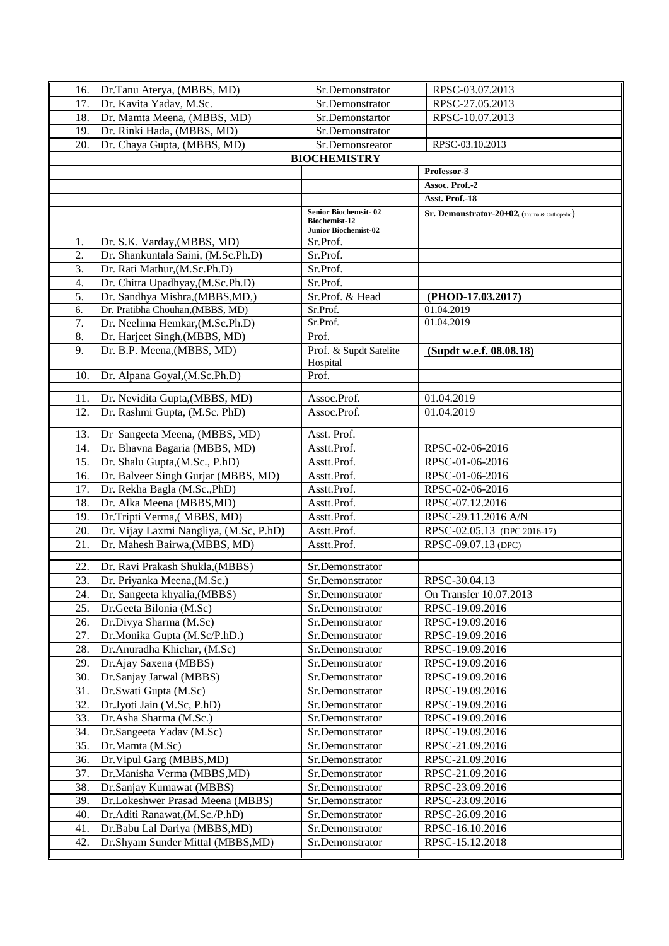| 16. | Dr.Tanu Aterya, (MBBS, MD)             | Sr.Demonstrator                                     | RPSC-03.07.2013                             |
|-----|----------------------------------------|-----------------------------------------------------|---------------------------------------------|
| 17. | Dr. Kavita Yadav, M.Sc.                | Sr.Demonstrator                                     | RPSC-27.05.2013                             |
| 18. | Dr. Mamta Meena, (MBBS, MD)            | Sr.Demonstartor                                     | RPSC-10.07.2013                             |
| 19. | Dr. Rinki Hada, (MBBS, MD)             | Sr.Demonstrator                                     |                                             |
| 20. | Dr. Chaya Gupta, (MBBS, MD)            | Sr.Demonsreator                                     | RPSC-03.10.2013                             |
|     |                                        | <b>BIOCHEMISTRY</b>                                 |                                             |
|     |                                        |                                                     | Professor-3                                 |
|     |                                        |                                                     | Assoc. Prof.-2                              |
|     |                                        |                                                     | Asst. Prof.-18                              |
|     |                                        | <b>Senior Biochemsit-02</b>                         | Sr. Demonstrator-20+02((Truma & Orthopedic) |
|     |                                        | <b>Biochemist-12</b><br><b>Junior Biochemist-02</b> |                                             |
| 1.  | Dr. S.K. Varday, (MBBS, MD)            | Sr.Prof.                                            |                                             |
| 2.  | Dr. Shankuntala Saini, (M.Sc.Ph.D)     | Sr.Prof.                                            |                                             |
| 3.  | Dr. Rati Mathur, (M.Sc.Ph.D)           | Sr.Prof.                                            |                                             |
| 4.  | Dr. Chitra Upadhyay, (M.Sc.Ph.D)       | Sr.Prof.                                            |                                             |
| 5.  | Dr. Sandhya Mishra, (MBBS, MD,)        | Sr.Prof. & Head                                     | (PHOD-17.03.2017)                           |
| 6.  | Dr. Pratibha Chouhan, (MBBS, MD)       | Sr.Prof.                                            | 01.04.2019                                  |
| 7.  | Dr. Neelima Hemkar, (M.Sc.Ph.D)        | Sr.Prof.                                            | 01.04.2019                                  |
| 8.  | Dr. Harjeet Singh, (MBBS, MD)          | Prof.                                               |                                             |
| 9.  | Dr. B.P. Meena, (MBBS, MD)             | Prof. & Supdt Satelite                              | (Supdt w.e.f. 08.08.18)                     |
|     |                                        | Hospital                                            |                                             |
| 10. | Dr. Alpana Goyal, (M.Sc.Ph.D)          | Prof.                                               |                                             |
| 11. | Dr. Nevidita Gupta, (MBBS, MD)         | Assoc.Prof.                                         | 01.04.2019                                  |
| 12. | Dr. Rashmi Gupta, (M.Sc. PhD)          | Assoc.Prof.                                         | 01.04.2019                                  |
|     |                                        |                                                     |                                             |
| 13. | Dr Sangeeta Meena, (MBBS, MD)          | Asst. Prof.                                         |                                             |
| 14. | Dr. Bhavna Bagaria (MBBS, MD)          | Asstt.Prof.                                         | RPSC-02-06-2016                             |
| 15. | Dr. Shalu Gupta, (M.Sc., P.hD)         | Asstt.Prof.                                         | RPSC-01-06-2016                             |
| 16. | Dr. Balveer Singh Gurjar (MBBS, MD)    | Asstt.Prof.                                         | RPSC-01-06-2016                             |
| 17. | Dr. Rekha Bagla (M.Sc., PhD)           | Asstt.Prof.                                         | RPSC-02-06-2016                             |
| 18. | Dr. Alka Meena (MBBS, MD)              | Asstt.Prof.                                         | RPSC-07.12.2016                             |
| 19. | Dr.Tripti Verma, (MBBS, MD)            | Asstt.Prof.                                         | RPSC-29.11.2016 A/N                         |
| 20. | Dr. Vijay Laxmi Nangliya, (M.Sc, P.hD) | Asstt.Prof.                                         | RPSC-02.05.13 (DPC 2016-17)                 |
| 21. | Dr. Mahesh Bairwa, (MBBS, MD)          | Asstt.Prof.                                         | RPSC-09.07.13 (DPC)                         |
| 22. | Dr. Ravi Prakash Shukla, (MBBS)        | Sr.Demonstrator                                     |                                             |
| 23. | Dr. Priyanka Meena, (M.Sc.)            | Sr.Demonstrator                                     | RPSC-30.04.13                               |
| 24. | Dr. Sangeeta khyalia, (MBBS)           | Sr.Demonstrator                                     | On Transfer 10.07.2013                      |
| 25. | Dr.Geeta Bilonia (M.Sc)                | Sr.Demonstrator                                     | RPSC-19.09.2016                             |
| 26. | Dr.Divya Sharma (M.Sc)                 | Sr.Demonstrator                                     | RPSC-19.09.2016                             |
| 27. | Dr.Monika Gupta (M.Sc/P.hD.)           | Sr.Demonstrator                                     | RPSC-19.09.2016                             |
| 28. | Dr.Anuradha Khichar, (M.Sc)            | Sr.Demonstrator                                     | RPSC-19.09.2016                             |
| 29. | Dr.Ajay Saxena (MBBS)                  | Sr.Demonstrator                                     | RPSC-19.09.2016                             |
| 30. | Dr.Sanjay Jarwal (MBBS)                | Sr.Demonstrator                                     | RPSC-19.09.2016                             |
| 31. | Dr.Swati Gupta (M.Sc)                  | Sr.Demonstrator                                     | RPSC-19.09.2016                             |
| 32. | Dr.Jyoti Jain (M.Sc, P.hD)             | Sr.Demonstrator                                     | RPSC-19.09.2016                             |
| 33. | Dr.Asha Sharma (M.Sc.)                 | Sr.Demonstrator                                     | RPSC-19.09.2016                             |
| 34. | Dr.Sangeeta Yadav (M.Sc)               | Sr.Demonstrator                                     | RPSC-19.09.2016                             |
| 35. | Dr.Mamta (M.Sc)                        | Sr.Demonstrator                                     | RPSC-21.09.2016                             |
| 36. | Dr. Vipul Garg (MBBS, MD)              | Sr.Demonstrator                                     | RPSC-21.09.2016                             |
| 37. | Dr.Manisha Verma (MBBS,MD)             | Sr.Demonstrator                                     | RPSC-21.09.2016                             |
| 38. | Dr.Sanjay Kumawat (MBBS)               | Sr.Demonstrator                                     | RPSC-23.09.2016                             |
| 39. | Dr.Lokeshwer Prasad Meena (MBBS)       | Sr.Demonstrator                                     | RPSC-23.09.2016                             |
| 40. | Dr.Aditi Ranawat, (M.Sc./P.hD)         | Sr.Demonstrator                                     | RPSC-26.09.2016                             |
| 41. | Dr.Babu Lal Dariya (MBBS,MD)           | Sr.Demonstrator                                     | RPSC-16.10.2016                             |
| 42. | Dr.Shyam Sunder Mittal (MBBS,MD)       | Sr.Demonstrator                                     | RPSC-15.12.2018                             |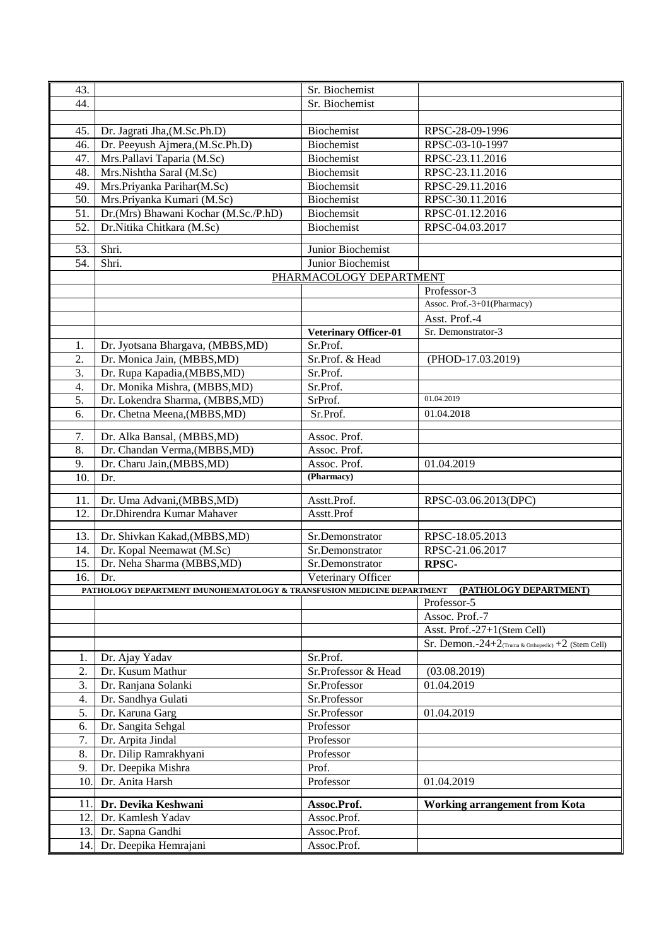| 43. |                                                                                               | Sr. Biochemist               |                                                          |
|-----|-----------------------------------------------------------------------------------------------|------------------------------|----------------------------------------------------------|
| 44. |                                                                                               | Sr. Biochemist               |                                                          |
|     |                                                                                               |                              |                                                          |
|     |                                                                                               |                              |                                                          |
| 45. | Dr. Jagrati Jha, (M.Sc.Ph.D)                                                                  | Biochemist                   | RPSC-28-09-1996                                          |
| 46. | Dr. Peeyush Ajmera, (M.Sc.Ph.D)                                                               | Biochemist                   | RPSC-03-10-1997                                          |
| 47. | Mrs.Pallavi Taparia (M.Sc)                                                                    | Biochemist                   | RPSC-23.11.2016                                          |
| 48. | Mrs.Nishtha Saral (M.Sc)                                                                      | Biochemsit                   | RPSC-23.11.2016                                          |
| 49. | Mrs.Priyanka Parihar(M.Sc)                                                                    | Biochemsit                   | RPSC-29.11.2016                                          |
| 50. | Mrs.Priyanka Kumari (M.Sc)                                                                    | Biochemist                   | RPSC-30.11.2016                                          |
| 51. | Dr.(Mrs) Bhawani Kochar (M.Sc./P.hD)                                                          | Biochemsit                   | RPSC-01.12.2016                                          |
| 52. | Dr.Nitika Chitkara (M.Sc)                                                                     | Biochemist                   | RPSC-04.03.2017                                          |
|     |                                                                                               |                              |                                                          |
| 53. | Shri.                                                                                         | Junior Biochemist            |                                                          |
| 54. | Shri.                                                                                         | Junior Biochemist            |                                                          |
|     |                                                                                               | PHARMACOLOGY DEPARTMENT      |                                                          |
|     |                                                                                               |                              | Professor-3                                              |
|     |                                                                                               |                              | Assoc. Prof.-3+01(Pharmacy)                              |
|     |                                                                                               |                              | Asst. Prof.-4                                            |
|     |                                                                                               | <b>Veterinary Officer-01</b> | Sr. Demonstrator-3                                       |
|     |                                                                                               | Sr.Prof.                     |                                                          |
| 1.  | Dr. Jyotsana Bhargava, (MBBS, MD)                                                             |                              |                                                          |
| 2.  | Dr. Monica Jain, (MBBS, MD)                                                                   | Sr.Prof. & Head              | (PHOD-17.03.2019)                                        |
| 3.  | Dr. Rupa Kapadia, (MBBS, MD)                                                                  | Sr.Prof.                     |                                                          |
| 4.  | Dr. Monika Mishra, (MBBS, MD)                                                                 | Sr.Prof.                     |                                                          |
| 5.  | Dr. Lokendra Sharma, (MBBS,MD)                                                                | SrProf.                      | 01.04.2019                                               |
| 6.  | Dr. Chetna Meena, (MBBS, MD)                                                                  | Sr.Prof.                     | 01.04.2018                                               |
| 7.  | Dr. Alka Bansal, (MBBS, MD)                                                                   | Assoc. Prof.                 |                                                          |
| 8.  | Dr. Chandan Verma, (MBBS, MD)                                                                 | Assoc. Prof.                 |                                                          |
|     |                                                                                               |                              |                                                          |
| 9.  | Dr. Charu Jain, (MBBS, MD)                                                                    | Assoc. Prof.<br>(Pharmacy)   | 01.04.2019                                               |
| 10. | Dr.                                                                                           |                              |                                                          |
| 11. | Dr. Uma Advani, (MBBS, MD)                                                                    | Asstt.Prof.                  | RPSC-03.06.2013(DPC)                                     |
| 12. | Dr.Dhirendra Kumar Mahaver                                                                    | Asstt.Prof                   |                                                          |
|     |                                                                                               |                              |                                                          |
| 13. | Dr. Shivkan Kakad, (MBBS, MD)                                                                 | Sr.Demonstrator              | RPSC-18.05.2013                                          |
| 14. | Dr. Kopal Neemawat (M.Sc)                                                                     | Sr.Demonstrator              | RPSC-21.06.2017                                          |
| 15. | Dr. Neha Sharma (MBBS,MD)                                                                     | Sr.Demonstrator              | <b>RPSC-</b>                                             |
| 16. | Dr.                                                                                           | Veterinary Officer           |                                                          |
|     | PATHOLOGY DEPARTMENT IMUNOHEMATOLOGY & TRANSFUSION MEDICINE DEPARTMENT [PATHOLOGY DEPARTMENT] |                              |                                                          |
|     |                                                                                               |                              | Professor-5                                              |
|     |                                                                                               |                              | Assoc. Prof.-7                                           |
|     |                                                                                               |                              | Asst. Prof.-27+1(Stem Cell)                              |
|     |                                                                                               |                              | Sr. Demon.- $24+2$ (Truma & Orthopedic) $+2$ (Stem Cell) |
| 1.  | Dr. Ajay Yadav                                                                                | Sr.Prof.                     |                                                          |
| 2.  | Dr. Kusum Mathur                                                                              | Sr.Professor & Head          | (03.08.2019)                                             |
| 3.  | Dr. Ranjana Solanki                                                                           | Sr.Professor                 | 01.04.2019                                               |
| 4.  | Dr. Sandhya Gulati                                                                            | Sr.Professor                 |                                                          |
| 5.  | Dr. Karuna Garg                                                                               | Sr.Professor                 | 01.04.2019                                               |
| 6.  | Dr. Sangita Sehgal                                                                            | Professor                    |                                                          |
| 7.  | Dr. Arpita Jindal                                                                             | Professor                    |                                                          |
| 8.  | Dr. Dilip Ramrakhyani                                                                         | Professor                    |                                                          |
| 9.  | Dr. Deepika Mishra                                                                            | Prof.                        |                                                          |
| 10. | Dr. Anita Harsh                                                                               | Professor                    | 01.04.2019                                               |
|     |                                                                                               |                              |                                                          |
|     | 11. Dr. Devika Keshwani                                                                       | Assoc.Prof.                  | <b>Working arrangement from Kota</b>                     |
|     | 12. Dr. Kamlesh Yadav                                                                         | Assoc.Prof.                  |                                                          |
|     | 13. Dr. Sapna Gandhi                                                                          | Assoc.Prof.                  |                                                          |
|     | 14. Dr. Deepika Hemrajani                                                                     | Assoc.Prof.                  |                                                          |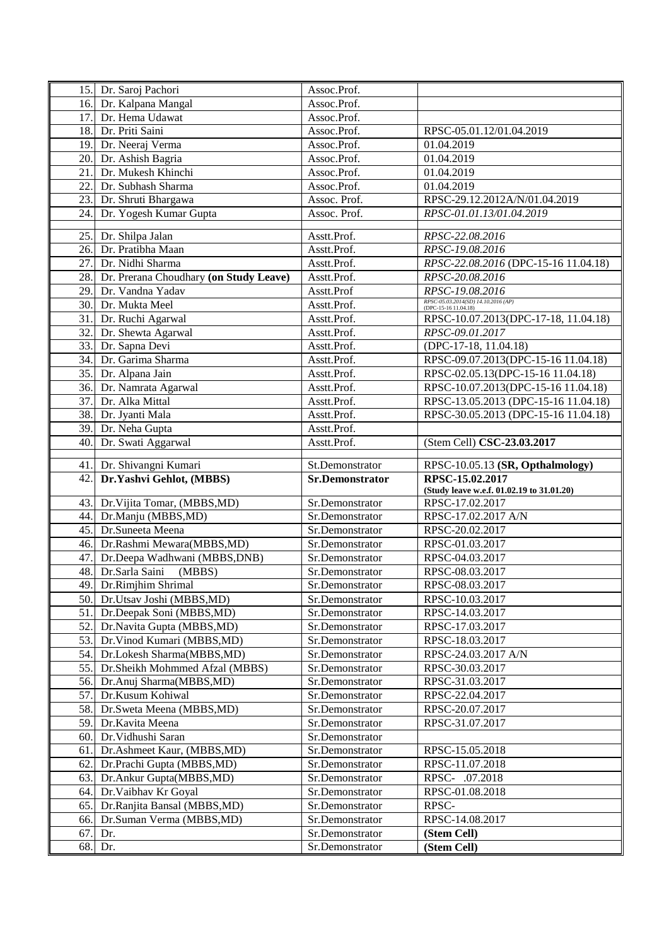|     | 15. Dr. Saroj Pachori                                              | Assoc.Prof.                        |                                                              |
|-----|--------------------------------------------------------------------|------------------------------------|--------------------------------------------------------------|
|     | 16. Dr. Kalpana Mangal                                             | Assoc.Prof.                        |                                                              |
| 17. | Dr. Hema Udawat                                                    | Assoc.Prof.                        |                                                              |
|     | 18. Dr. Priti Saini                                                | Assoc.Prof.                        | RPSC-05.01.12/01.04.2019                                     |
| 19. | Dr. Neeraj Verma                                                   | Assoc.Prof.                        | 01.04.2019                                                   |
| 20. | Dr. Ashish Bagria                                                  | Assoc.Prof.                        | 01.04.2019                                                   |
| 21. | Dr. Mukesh Khinchi                                                 | Assoc.Prof.                        | 01.04.2019                                                   |
| 22. | Dr. Subhash Sharma                                                 | Assoc.Prof.                        | 01.04.2019                                                   |
| 23. | Dr. Shruti Bhargawa                                                | Assoc. Prof.                       | RPSC-29.12.2012A/N/01.04.2019                                |
| 24. | Dr. Yogesh Kumar Gupta                                             | Assoc. Prof.                       | RPSC-01.01.13/01.04.2019                                     |
|     |                                                                    |                                    |                                                              |
| 25. | Dr. Shilpa Jalan                                                   | Asstt.Prof.                        | RPSC-22.08.2016                                              |
| 26. | Dr. Pratibha Maan                                                  | Asstt.Prof.                        | RPSC-19.08.2016                                              |
| 27. | Dr. Nidhi Sharma                                                   | Asstt.Prof.                        | RPSC-22.08.2016 (DPC-15-16 11.04.18)                         |
| 28. | Dr. Prerana Choudhary (on Study Leave)                             | Asstt.Prof.                        | RPSC-20.08.2016                                              |
| 29. | Dr. Vandna Yadav                                                   | Asstt.Prof                         | RPSC-19.08.2016                                              |
| 30. | Dr. Mukta Meel                                                     | Asstt.Prof.                        | RPSC-05.03.2014(SD) 14.10.2016 (AP)<br>$(DPC-15-1611.04.18)$ |
| 31. | Dr. Ruchi Agarwal                                                  | Asstt.Prof.                        | RPSC-10.07.2013(DPC-17-18, 11.04.18)                         |
| 32. | Dr. Shewta Agarwal                                                 | Asstt.Prof.                        | RPSC-09.01.2017                                              |
| 33. | Dr. Sapna Devi                                                     | Asstt.Prof.                        | (DPC-17-18, 11.04.18)                                        |
| 34. | Dr. Garima Sharma                                                  | Asstt.Prof.                        | RPSC-09.07.2013(DPC-15-16 11.04.18)                          |
| 35. | Dr. Alpana Jain                                                    | Asstt.Prof.                        | RPSC-02.05.13(DPC-15-16 11.04.18)                            |
|     | 36. Dr. Namrata Agarwal                                            | Asstt.Prof.                        | RPSC-10.07.2013(DPC-15-16 11.04.18)                          |
| 37. | Dr. Alka Mittal                                                    | Asstt.Prof.                        | RPSC-13.05.2013 (DPC-15-16 11.04.18)                         |
| 38. | Dr. Jyanti Mala                                                    | Asstt.Prof.                        | RPSC-30.05.2013 (DPC-15-16 11.04.18)                         |
| 39. | Dr. Neha Gupta                                                     | Asstt.Prof.                        |                                                              |
| 40. | Dr. Swati Aggarwal                                                 | Asstt.Prof.                        | (Stem Cell) CSC-23.03.2017                                   |
|     |                                                                    |                                    |                                                              |
|     | 41. Dr. Shivangni Kumari                                           | St.Demonstrator                    | RPSC-10.05.13 (SR, Opthalmology)                             |
|     |                                                                    |                                    |                                                              |
| 42. | Dr.Yashvi Gehlot, (MBBS)                                           | <b>Sr.Demonstrator</b>             | RPSC-15.02.2017                                              |
|     |                                                                    |                                    | (Study leave w.e.f. 01.02.19 to 31.01.20)                    |
| 43. | Dr. Vijita Tomar, (MBBS, MD)                                       | Sr.Demonstrator                    | RPSC-17.02.2017                                              |
| 44. | Dr.Manju (MBBS,MD)                                                 | Sr.Demonstrator                    | RPSC-17.02.2017 A/N                                          |
| 45. | Dr.Suneeta Meena                                                   | Sr.Demonstrator                    | RPSC-20.02.2017                                              |
|     | 46. Dr.Rashmi Mewara(MBBS,MD)                                      | Sr.Demonstrator                    | RPSC-01.03.2017                                              |
| 47. | Dr.Deepa Wadhwani (MBBS,DNB)                                       | Sr.Demonstrator                    | RPSC-04.03.2017                                              |
|     | 48. Dr.Sarla Saini (MBBS)                                          | Sr.Demonstrator                    | RPSC-08.03.2017                                              |
|     | 49. Dr.Rimjhim Shrimal                                             | Sr.Demonstrator                    | RPSC-08.03.2017                                              |
|     | 50. Dr.Utsav Joshi (MBBS,MD)                                       | Sr.Demonstrator                    | RPSC-10.03.2017                                              |
|     | 51. Dr.Deepak Soni (MBBS, MD)                                      | Sr.Demonstrator<br>Sr.Demonstrator | RPSC-14.03.2017<br>RPSC-17.03.2017                           |
|     | 52. Dr. Navita Gupta (MBBS, MD)<br>53. Dr. Vinod Kumari (MBBS, MD) | Sr.Demonstrator                    | RPSC-18.03.2017                                              |
| 54. | Dr.Lokesh Sharma(MBBS,MD)                                          | Sr.Demonstrator                    | RPSC-24.03.2017 A/N                                          |
| 55. | Dr.Sheikh Mohmmed Afzal (MBBS)                                     | Sr.Demonstrator                    | RPSC-30.03.2017                                              |
| 56. | Dr.Anuj Sharma(MBBS,MD)                                            | Sr.Demonstrator                    | RPSC-31.03.2017                                              |
| 57. | Dr.Kusum Kohiwal                                                   | Sr.Demonstrator                    | RPSC-22.04.2017                                              |
| 58. | Dr.Sweta Meena (MBBS,MD)                                           | Sr.Demonstrator                    | RPSC-20.07.2017                                              |
| 59. | Dr. Kavita Meena                                                   | Sr.Demonstrator                    | RPSC-31.07.2017                                              |
| 60. | Dr. Vidhushi Saran                                                 | Sr.Demonstrator                    |                                                              |
| 61. | Dr.Ashmeet Kaur, (MBBS, MD)                                        | Sr.Demonstrator                    | RPSC-15.05.2018                                              |
| 62. | Dr.Prachi Gupta (MBBS,MD)                                          | Sr.Demonstrator                    | RPSC-11.07.2018                                              |
| 63. | Dr.Ankur Gupta(MBBS,MD)                                            | Sr.Demonstrator                    | RPSC- .07.2018                                               |
| 64. | Dr. Vaibhav Kr Goyal                                               | Sr.Demonstrator                    | RPSC-01.08.2018                                              |
| 65. | Dr.Ranjita Bansal (MBBS,MD)                                        | Sr.Demonstrator                    | RPSC-                                                        |
| 66. | Dr.Suman Verma (MBBS,MD)                                           | Sr.Demonstrator                    | RPSC-14.08.2017                                              |
| 67. | Dr.                                                                | Sr.Demonstrator                    | (Stem Cell)                                                  |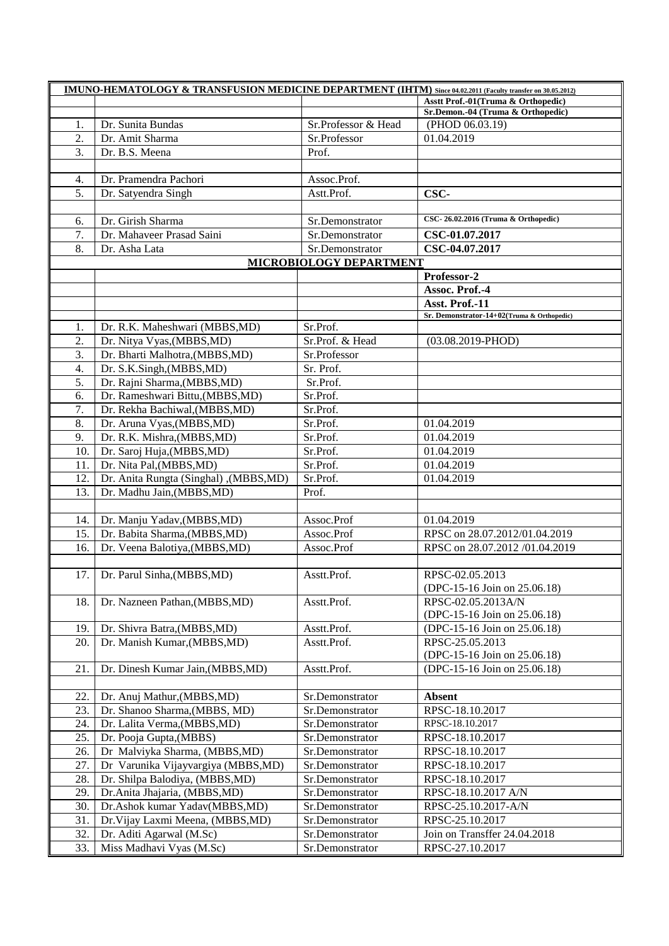| <b>IMUNO-HEMATOLOGY &amp; TRANSFUSION MEDICINE DEPARTMENT (IHTM)</b> Since 04.02.2011 (Faculty transfer on 30.05.2012) |                                        |                         |                                            |  |
|------------------------------------------------------------------------------------------------------------------------|----------------------------------------|-------------------------|--------------------------------------------|--|
|                                                                                                                        |                                        |                         | Asstt Prof.-01(Truma & Orthopedic)         |  |
|                                                                                                                        |                                        |                         | Sr.Demon.-04 (Truma & Orthopedic)          |  |
| 1.                                                                                                                     | Dr. Sunita Bundas                      | Sr.Professor & Head     | (PHOD 06.03.19)                            |  |
| 2.                                                                                                                     | Dr. Amit Sharma                        | Sr.Professor            | 01.04.2019                                 |  |
| 3.                                                                                                                     | Dr. B.S. Meena                         | Prof.                   |                                            |  |
|                                                                                                                        |                                        |                         |                                            |  |
| 4.                                                                                                                     | Dr. Pramendra Pachori                  | Assoc.Prof.             |                                            |  |
| 5.                                                                                                                     | Dr. Satyendra Singh                    | Astt.Prof.              | CSC-                                       |  |
|                                                                                                                        |                                        |                         |                                            |  |
| 6.                                                                                                                     | Dr. Girish Sharma                      | Sr.Demonstrator         | CSC-26.02.2016 (Truma & Orthopedic)        |  |
| 7.                                                                                                                     | Dr. Mahaveer Prasad Saini              | Sr.Demonstrator         | CSC-01.07.2017                             |  |
| 8.                                                                                                                     | Dr. Asha Lata                          | Sr.Demonstrator         | CSC-04.07.2017                             |  |
|                                                                                                                        |                                        | MICROBIOLOGY DEPARTMENT |                                            |  |
|                                                                                                                        |                                        |                         | Professor-2                                |  |
|                                                                                                                        |                                        |                         | Assoc. Prof.-4                             |  |
|                                                                                                                        |                                        |                         | Asst. Prof.-11                             |  |
|                                                                                                                        |                                        |                         | Sr. Demonstrator-14+02(Truma & Orthopedic) |  |
| 1.                                                                                                                     | Dr. R.K. Maheshwari (MBBS,MD)          | Sr.Prof.                |                                            |  |
| 2.                                                                                                                     | Dr. Nitya Vyas, (MBBS, MD)             | Sr.Prof. & Head         | $(03.08.2019 - PHOD)$                      |  |
| 3.                                                                                                                     | Dr. Bharti Malhotra, (MBBS, MD)        | Sr.Professor            |                                            |  |
| 4.                                                                                                                     | Dr. S.K.Singh, (MBBS, MD)              | Sr. Prof.               |                                            |  |
| 5.                                                                                                                     | Dr. Rajni Sharma, (MBBS, MD)           | Sr.Prof.                |                                            |  |
| 6.                                                                                                                     | Dr. Rameshwari Bittu, (MBBS, MD)       | Sr.Prof.                |                                            |  |
| 7.                                                                                                                     | Dr. Rekha Bachiwal, (MBBS, MD)         | Sr.Prof.                |                                            |  |
| 8.                                                                                                                     | Dr. Aruna Vyas, (MBBS, MD)             | Sr.Prof.                | 01.04.2019                                 |  |
| 9.                                                                                                                     |                                        |                         | 01.04.2019                                 |  |
|                                                                                                                        | Dr. R.K. Mishra, (MBBS, MD)            | Sr.Prof.                |                                            |  |
| 10.                                                                                                                    | Dr. Saroj Huja, (MBBS, MD)             | Sr.Prof.                | 01.04.2019                                 |  |
| 11.                                                                                                                    | Dr. Nita Pal, (MBBS, MD)               | Sr.Prof.                | 01.04.2019                                 |  |
| 12.                                                                                                                    | Dr. Anita Rungta (Singhal), (MBBS, MD) | Sr.Prof.                | 01.04.2019                                 |  |
| 13.                                                                                                                    | Dr. Madhu Jain, (MBBS, MD)             | Prof.                   |                                            |  |
|                                                                                                                        |                                        |                         |                                            |  |
| 14.                                                                                                                    | Dr. Manju Yadav, (MBBS, MD)            | Assoc.Prof              | 01.04.2019                                 |  |
| 15.                                                                                                                    | Dr. Babita Sharma, (MBBS, MD)          | Assoc.Prof              | RPSC on 28.07.2012/01.04.2019              |  |
| 16.                                                                                                                    | Dr. Veena Balotiya, (MBBS, MD)         | Assoc.Prof              | RPSC on 28.07.2012 /01.04.2019             |  |
|                                                                                                                        |                                        |                         |                                            |  |
| 17.                                                                                                                    | Dr. Parul Sinha, (MBBS, MD)            | Asstt.Prof.             | RPSC-02.05.2013                            |  |
|                                                                                                                        |                                        |                         | (DPC-15-16 Join on 25.06.18)               |  |
| 18.                                                                                                                    | Dr. Nazneen Pathan, (MBBS, MD)         | Asstt.Prof.             | RPSC-02.05.2013A/N                         |  |
|                                                                                                                        |                                        |                         | (DPC-15-16 Join on 25.06.18)               |  |
| 19.                                                                                                                    | Dr. Shivra Batra, (MBBS, MD)           | Asstt.Prof.             | (DPC-15-16 Join on 25.06.18)               |  |
| 20.                                                                                                                    | Dr. Manish Kumar, (MBBS, MD)           | Asstt.Prof.             | RPSC-25.05.2013                            |  |
|                                                                                                                        |                                        |                         | (DPC-15-16 Join on 25.06.18)               |  |
| 21.                                                                                                                    | Dr. Dinesh Kumar Jain, (MBBS, MD)      | Asstt.Prof.             | (DPC-15-16 Join on 25.06.18)               |  |
|                                                                                                                        |                                        |                         |                                            |  |
| 22.                                                                                                                    | Dr. Anuj Mathur, (MBBS, MD)            | Sr.Demonstrator         | <b>Absent</b>                              |  |
| 23.                                                                                                                    | Dr. Shanoo Sharma, (MBBS, MD)          | Sr.Demonstrator         | RPSC-18.10.2017                            |  |
| 24.                                                                                                                    | Dr. Lalita Verma, (MBBS, MD)           | Sr.Demonstrator         | RPSC-18.10.2017                            |  |
| 25.                                                                                                                    | Dr. Pooja Gupta, (MBBS)                | Sr.Demonstrator         | RPSC-18.10.2017                            |  |
| 26.                                                                                                                    | Dr Malviyka Sharma, (MBBS, MD)         | Sr.Demonstrator         | RPSC-18.10.2017                            |  |
| 27.                                                                                                                    | Dr Varunika Vijayvargiya (MBBS, MD)    | Sr.Demonstrator         | RPSC-18.10.2017                            |  |
| 28.                                                                                                                    | Dr. Shilpa Balodiya, (MBBS, MD)        |                         |                                            |  |
|                                                                                                                        |                                        | Sr.Demonstrator         | RPSC-18.10.2017                            |  |
| 29.                                                                                                                    | Dr. Anita Jhajaria, (MBBS, MD)         | Sr.Demonstrator         | RPSC-18.10.2017 A/N                        |  |
| 30.                                                                                                                    | Dr.Ashok kumar Yadav(MBBS,MD)          | Sr.Demonstrator         | RPSC-25.10.2017-A/N                        |  |
| 31.                                                                                                                    | Dr. Vijay Laxmi Meena, (MBBS, MD)      | Sr.Demonstrator         | RPSC-25.10.2017                            |  |
| 32.                                                                                                                    | Dr. Aditi Agarwal (M.Sc)               | Sr.Demonstrator         | Join on Transffer 24.04.2018               |  |
| 33.                                                                                                                    | Miss Madhavi Vyas (M.Sc)               | Sr.Demonstrator         | RPSC-27.10.2017                            |  |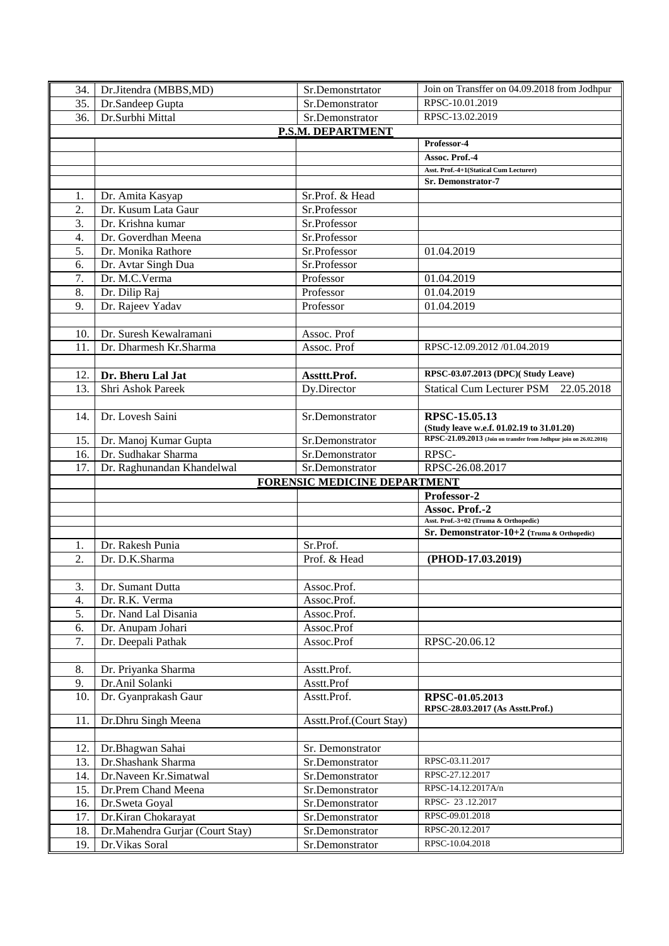| 34.               | Dr.Jitendra (MBBS,MD)                              | Sr.Demonstrtator                   | Join on Transffer on 04.09.2018 from Jodhpur                       |  |  |
|-------------------|----------------------------------------------------|------------------------------------|--------------------------------------------------------------------|--|--|
| 35.               | Dr.Sandeep Gupta                                   | Sr.Demonstrator                    | RPSC-10.01.2019                                                    |  |  |
| 36.               | Dr.Surbhi Mittal                                   | Sr.Demonstrator                    | RPSC-13.02.2019                                                    |  |  |
| P.S.M. DEPARTMENT |                                                    |                                    |                                                                    |  |  |
|                   |                                                    |                                    | Professor-4                                                        |  |  |
|                   |                                                    |                                    | Assoc. Prof.-4                                                     |  |  |
|                   |                                                    |                                    | Asst. Prof.-4+1(Statical Cum Lecturer)                             |  |  |
|                   |                                                    |                                    | <b>Sr. Demonstrator-7</b>                                          |  |  |
| 1.                | Dr. Amita Kasyap                                   | Sr.Prof. & Head                    |                                                                    |  |  |
| 2.                | Dr. Kusum Lata Gaur                                | Sr.Professor                       |                                                                    |  |  |
| 3.                | Dr. Krishna kumar                                  | Sr.Professor                       |                                                                    |  |  |
| $\overline{4}$ .  | Dr. Goverdhan Meena                                | Sr.Professor                       |                                                                    |  |  |
| 5.                | Dr. Monika Rathore                                 | Sr.Professor                       | 01.04.2019                                                         |  |  |
| 6.                | Dr. Avtar Singh Dua                                | Sr.Professor                       |                                                                    |  |  |
| 7.                | Dr. M.C.Verma                                      | Professor                          | 01.04.2019                                                         |  |  |
| 8.                | Dr. Dilip Raj                                      | Professor                          | 01.04.2019                                                         |  |  |
| 9.                | Dr. Rajeev Yadav                                   | Professor                          | 01.04.2019                                                         |  |  |
|                   |                                                    |                                    |                                                                    |  |  |
| 10.               | Dr. Suresh Kewalramani                             | Assoc. Prof                        |                                                                    |  |  |
| 11.               | Dr. Dharmesh Kr.Sharma                             | Assoc. Prof                        | RPSC-12.09.2012 /01.04.2019                                        |  |  |
|                   |                                                    |                                    |                                                                    |  |  |
| 12.               | Dr. Bheru Lal Jat                                  | Assttt.Prof.                       | RPSC-03.07.2013 (DPC)(Study Leave)                                 |  |  |
| 13.               | Shri Ashok Pareek                                  | Dy.Director                        | Statical Cum Lecturer PSM 22.05.2018                               |  |  |
|                   |                                                    |                                    |                                                                    |  |  |
| 14.               | Dr. Lovesh Saini                                   | Sr.Demonstrator                    | RPSC-15.05.13                                                      |  |  |
|                   |                                                    |                                    | (Study leave w.e.f. 01.02.19 to 31.01.20)                          |  |  |
| 15.               | Dr. Manoj Kumar Gupta                              | Sr.Demonstrator                    | RPSC-21.09.2013 (Join on transfer from Jodhpur join on 26.02.2016) |  |  |
| 16.               | Dr. Sudhakar Sharma                                | Sr.Demonstrator                    | RPSC-                                                              |  |  |
| 17.               | Dr. Raghunandan Khandelwal                         | Sr.Demonstrator                    | RPSC-26.08.2017                                                    |  |  |
|                   | FORENSIC MEDICINE DEPARTMENT                       |                                    |                                                                    |  |  |
|                   |                                                    |                                    |                                                                    |  |  |
|                   |                                                    |                                    | Professor-2                                                        |  |  |
|                   |                                                    |                                    | Assoc. Prof.-2                                                     |  |  |
|                   |                                                    |                                    | Asst. Prof.-3+02 (Truma & Orthopedic)                              |  |  |
|                   |                                                    |                                    | Sr. Demonstrator-10+2 (Truma & Orthopedic)                         |  |  |
| 1.                | Dr. Rakesh Punia                                   | Sr.Prof.                           |                                                                    |  |  |
| 2.                | Dr. D.K.Sharma                                     | Prof. & Head                       | (PHOD-17.03.2019)                                                  |  |  |
|                   |                                                    |                                    |                                                                    |  |  |
| 3.                | Dr. Sumant Dutta                                   | Assoc.Prof.                        |                                                                    |  |  |
| 4.                | Dr. R.K. Verma                                     | Assoc.Prof.                        |                                                                    |  |  |
| 5.                | Dr. Nand Lal Disania                               | Assoc.Prof.                        |                                                                    |  |  |
| 6.                | Dr. Anupam Johari                                  | Assoc.Prof                         |                                                                    |  |  |
| 7.                | Dr. Deepali Pathak                                 | Assoc.Prof                         | RPSC-20.06.12                                                      |  |  |
|                   |                                                    |                                    |                                                                    |  |  |
| 8.                | Dr. Priyanka Sharma                                | Asstt.Prof.                        |                                                                    |  |  |
| 9.                | Dr.Anil Solanki                                    | Asstt.Prof                         |                                                                    |  |  |
| 10.               | Dr. Gyanprakash Gaur                               | Asstt.Prof.                        | RPSC-01.05.2013                                                    |  |  |
|                   |                                                    |                                    | RPSC-28.03.2017 (As Asstt.Prof.)                                   |  |  |
| 11.               | Dr.Dhru Singh Meena                                | Asstt.Prof.(Court Stay)            |                                                                    |  |  |
|                   |                                                    |                                    |                                                                    |  |  |
| 12.               | Dr.Bhagwan Sahai                                   | Sr. Demonstrator                   |                                                                    |  |  |
| 13.               | Dr.Shashank Sharma                                 | Sr.Demonstrator                    | RPSC-03.11.2017                                                    |  |  |
| 14.               | Dr.Naveen Kr.Simatwal                              | Sr.Demonstrator                    | RPSC-27.12.2017                                                    |  |  |
| 15.               | Dr.Prem Chand Meena                                | Sr.Demonstrator                    | RPSC-14.12.2017A/n                                                 |  |  |
| 16.               | Dr.Sweta Goyal                                     | Sr.Demonstrator                    | RPSC-23.12.2017                                                    |  |  |
| 17.               | Dr.Kiran Chokarayat                                | Sr.Demonstrator                    | RPSC-09.01.2018                                                    |  |  |
| 18.<br>19.        | Dr.Mahendra Gurjar (Court Stay)<br>Dr. Vikas Soral | Sr.Demonstrator<br>Sr.Demonstrator | RPSC-20.12.2017<br>RPSC-10.04.2018                                 |  |  |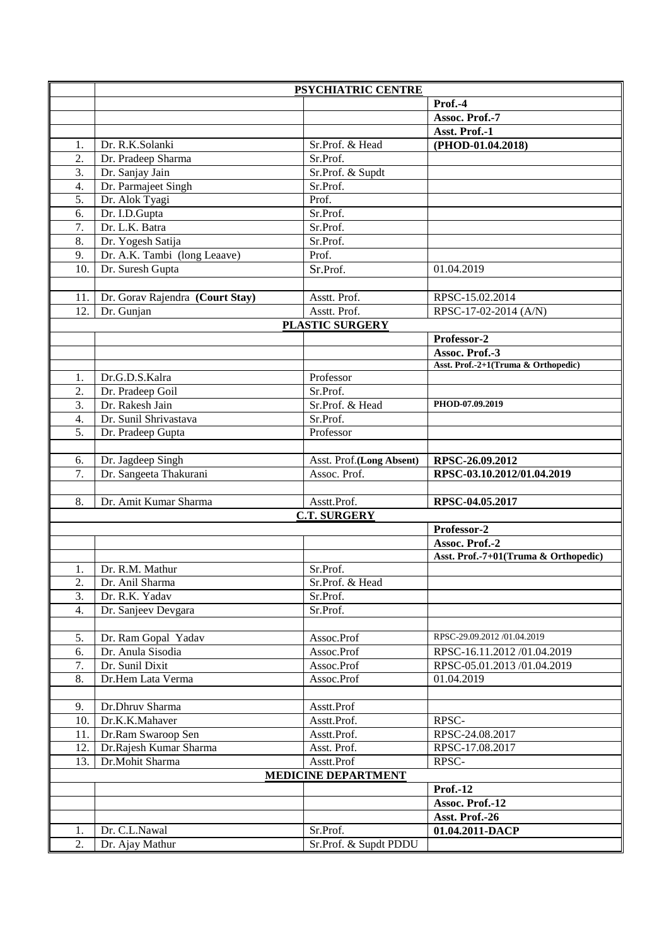|                  |                                    | PSYCHIATRIC CENTRE                |                                      |
|------------------|------------------------------------|-----------------------------------|--------------------------------------|
|                  |                                    |                                   | Prof.-4                              |
|                  |                                    |                                   | Assoc. Prof.-7                       |
|                  |                                    |                                   | Asst. Prof.-1                        |
| 1.               | Dr. R.K.Solanki                    | Sr.Prof. & Head                   | (PHOD-01.04.2018)                    |
| 2.               | Dr. Pradeep Sharma                 | Sr.Prof.                          |                                      |
| 3.               | Dr. Sanjay Jain                    | Sr.Prof. & Supdt                  |                                      |
| 4.               | Dr. Parmajeet Singh                | Sr.Prof.                          |                                      |
| $\overline{5}$ . | Dr. Alok Tyagi                     | Prof.                             |                                      |
| 6.               | Dr. I.D.Gupta                      | Sr.Prof.                          |                                      |
| 7.               | Dr. L.K. Batra                     | Sr.Prof.                          |                                      |
| 8.               | Dr. Yogesh Satija                  | Sr.Prof.                          |                                      |
| 9.               | Dr. A.K. Tambi (long Leaave)       | Prof.                             |                                      |
| 10.              | Dr. Suresh Gupta                   | Sr.Prof.                          | 01.04.2019                           |
|                  |                                    |                                   |                                      |
| 11.              | Dr. Gorav Rajendra (Court Stay)    | Asstt. Prof.                      | RPSC-15.02.2014                      |
| 12.              | Dr. Gunjan                         | Asstt. Prof.                      | RPSC-17-02-2014 (A/N)                |
|                  |                                    | <b>PLASTIC SURGERY</b>            |                                      |
|                  |                                    |                                   | Professor-2                          |
|                  |                                    |                                   | Assoc. Prof.-3                       |
|                  |                                    |                                   | Asst. Prof.-2+1(Truma & Orthopedic)  |
| 1.               | Dr.G.D.S.Kalra                     | Professor                         |                                      |
| 2.               | Dr. Pradeep Goil                   | Sr.Prof.                          |                                      |
| 3.               | Dr. Rakesh Jain                    | Sr.Prof. & Head                   | PHOD-07.09.2019                      |
| $\overline{4}$ . | Dr. Sunil Shrivastava              | Sr.Prof.                          |                                      |
| 5.               | Dr. Pradeep Gupta                  | Professor                         |                                      |
|                  |                                    |                                   |                                      |
| 6.               | Dr. Jagdeep Singh                  | Asst. Prof.(Long Absent)          | RPSC-26.09.2012                      |
| 7.               | Dr. Sangeeta Thakurani             | Assoc. Prof.                      | RPSC-03.10.2012/01.04.2019           |
|                  |                                    |                                   |                                      |
| 8.               | Dr. Amit Kumar Sharma              | Asstt.Prof.                       | RPSC-04.05.2017                      |
|                  |                                    | <b>C.T. SURGERY</b>               |                                      |
|                  |                                    |                                   | Professor-2                          |
|                  |                                    |                                   | Assoc. Prof.-2                       |
|                  |                                    |                                   | Asst. Prof.-7+01(Truma & Orthopedic) |
| 1.<br>2.         | Dr. R.M. Mathur<br>Dr. Anil Sharma | Sr.Prof.<br>Sr.Prof. & Head       |                                      |
| 3.               | Dr. R.K. Yadav                     |                                   |                                      |
| 4.               |                                    | Sr.Prof.                          |                                      |
|                  |                                    |                                   |                                      |
|                  | Dr. Sanjeev Devgara                | Sr.Prof.                          |                                      |
|                  |                                    |                                   |                                      |
| 5.               | Dr. Ram Gopal Yadav                | Assoc.Prof                        | RPSC-29.09.2012 /01.04.2019          |
| 6.               | Dr. Anula Sisodia                  | Assoc.Prof                        | RPSC-16.11.2012 /01.04.2019          |
| 7.               | Dr. Sunil Dixit                    | Assoc.Prof                        | RPSC-05.01.2013 /01.04.2019          |
| 8.               | Dr.Hem Lata Verma                  | Assoc.Prof                        | 01.04.2019                           |
|                  |                                    |                                   |                                      |
| 9.               | Dr.Dhruv Sharma                    | Asstt.Prof                        |                                      |
| 10.              | Dr.K.K.Mahaver                     | Asstt.Prof.                       | RPSC-                                |
| 11.              | Dr.Ram Swaroop Sen                 | Asstt.Prof.                       | RPSC-24.08.2017                      |
| 12.              | Dr.Rajesh Kumar Sharma             | Asst. Prof.                       | RPSC-17.08.2017                      |
| 13.              | Dr.Mohit Sharma                    | Asstt.Prof                        | RPSC-                                |
|                  |                                    | <b>MEDICINE DEPARTMENT</b>        |                                      |
|                  |                                    |                                   | Prof.-12                             |
|                  |                                    |                                   | Assoc. Prof.-12                      |
|                  |                                    |                                   | Asst. Prof.-26                       |
| 1.<br>2.         | Dr. C.L.Nawal<br>Dr. Ajay Mathur   | Sr.Prof.<br>Sr.Prof. & Supdt PDDU | 01.04.2011-DACP                      |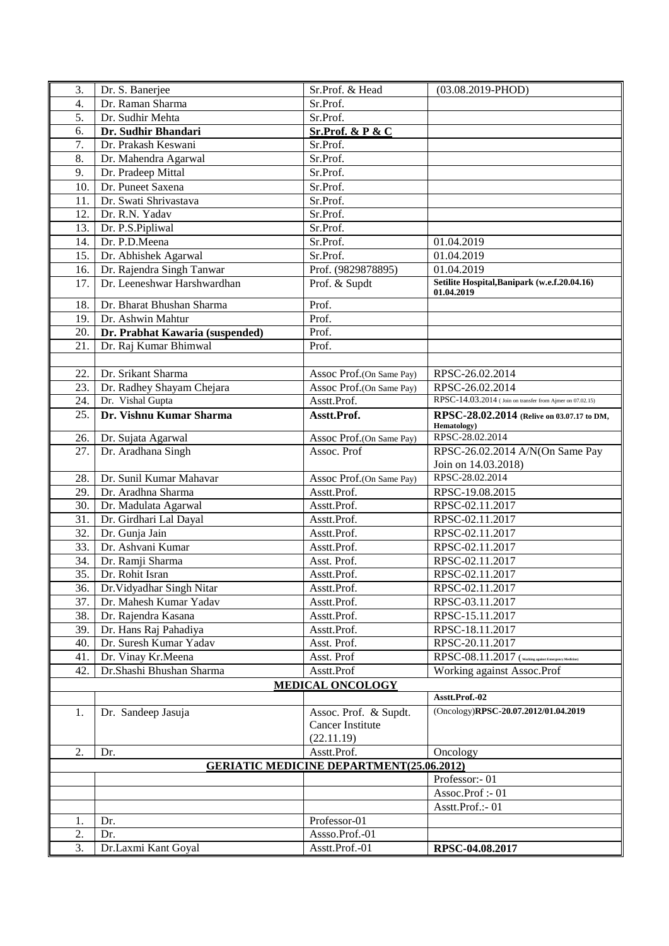| 3.               | Dr. S. Banerjee                                          | Sr.Prof. & Head                                 | $(03.08.2019 - PHOD)$                                     |
|------------------|----------------------------------------------------------|-------------------------------------------------|-----------------------------------------------------------|
| $\overline{4}$ . | Dr. Raman Sharma                                         | Sr.Prof.                                        |                                                           |
| 5.               | Dr. Sudhir Mehta                                         | Sr.Prof.                                        |                                                           |
| 6.               | Dr. Sudhir Bhandari                                      | Sr.Prof. & P & C                                |                                                           |
| 7.               | Dr. Prakash Keswani                                      | Sr.Prof.                                        |                                                           |
| 8.               | Dr. Mahendra Agarwal                                     | Sr.Prof.                                        |                                                           |
| 9.               | Dr. Pradeep Mittal                                       | Sr.Prof.                                        |                                                           |
| 10.              | Dr. Puneet Saxena                                        | Sr.Prof.                                        |                                                           |
| 11.              | Dr. Swati Shrivastava                                    | Sr.Prof.                                        |                                                           |
| 12.              | Dr. R.N. Yadav                                           | Sr.Prof.                                        |                                                           |
| 13.              | Dr. P.S.Pipliwal                                         | Sr.Prof.                                        |                                                           |
| 14.              | Dr. P.D.Meena                                            | Sr.Prof.                                        | 01.04.2019                                                |
| 15.              | Dr. Abhishek Agarwal                                     | Sr.Prof.                                        | 01.04.2019                                                |
| 16.              | Dr. Rajendra Singh Tanwar                                | Prof. (9829878895)                              | 01.04.2019                                                |
| 17.              | Dr. Leeneshwar Harshwardhan                              | Prof. & Supdt                                   | Setilite Hospital, Banipark (w.e.f.20.04.16)              |
| 18.              | Dr. Bharat Bhushan Sharma                                | Prof.                                           | 01.04.2019                                                |
| 19.              | Dr. Ashwin Mahtur                                        | Prof.                                           |                                                           |
| 20.              |                                                          | Prof.                                           |                                                           |
| 21.              | Dr. Prabhat Kawaria (suspended)<br>Dr. Raj Kumar Bhimwal | Prof.                                           |                                                           |
|                  |                                                          |                                                 |                                                           |
| 22.              | Dr. Srikant Sharma                                       | Assoc Prof.(On Same Pay)                        | RPSC-26.02.2014                                           |
| 23.              | Dr. Radhey Shayam Chejara                                | Assoc Prof.(On Same Pay)                        | RPSC-26.02.2014                                           |
| 24.              | Dr. Vishal Gupta                                         | Asstt.Prof.                                     | RPSC-14.03.2014 (Join on transfer from Ajmer on 07.02.15) |
| 25.              | Dr. Vishnu Kumar Sharma                                  | Asstt.Prof.                                     | RPSC-28.02.2014 (Relive on 03.07.17 to DM,                |
|                  |                                                          |                                                 | <b>Hematology</b> )                                       |
| 26.              | Dr. Sujata Agarwal                                       | Assoc Prof.(On Same Pay)                        | RPSC-28.02.2014                                           |
| 27.              | Dr. Aradhana Singh                                       | Assoc. Prof                                     | RPSC-26.02.2014 A/N(On Same Pay                           |
|                  |                                                          |                                                 | Join on 14.03.2018)                                       |
| 28.              | Dr. Sunil Kumar Mahavar                                  | Assoc Prof.(On Same Pay)                        | RPSC-28.02.2014                                           |
| 29.              | Dr. Aradhna Sharma                                       | Asstt.Prof.                                     | RPSC-19.08.2015                                           |
| 30.              | Dr. Madulata Agarwal                                     | Asstt.Prof.                                     | RPSC-02.11.2017                                           |
| 31.              | Dr. Girdhari Lal Dayal                                   | Asstt.Prof.                                     | RPSC-02.11.2017                                           |
| 32.              | Dr. Gunja Jain                                           | Asstt.Prof.                                     | RPSC-02.11.2017                                           |
| 33.              | Dr. Ashvani Kumar                                        | Asstt.Prof.                                     | RPSC-02.11.2017                                           |
| 34.              | Dr. Ramji Sharma                                         | Asst. Prof.                                     | RPSC-02.11.2017                                           |
| 35.              | Dr. Rohit Isran                                          | Asstt.Prof.                                     | RPSC-02.11.2017                                           |
| $\overline{36}$  | Dr. Vidyadhar Singh Nitar                                | Asstt.Prof.                                     | RPSC-02.11.2017                                           |
| 37.              | Dr. Mahesh Kumar Yadav                                   | Asstt.Prof.                                     | RPSC-03.11.2017                                           |
| 38.              | Dr. Rajendra Kasana                                      | Asstt.Prof.                                     | RPSC-15.11.2017                                           |
| 39.              | Dr. Hans Raj Pahadiya                                    | Asstt.Prof.                                     | RPSC-18.11.2017                                           |
| 40.              | Dr. Suresh Kumar Yadav                                   | Asst. Prof.                                     | RPSC-20.11.2017                                           |
| 41.              | Dr. Vinay Kr.Meena                                       | Asst. Prof                                      | RPSC-08.11.2017 (Working against Emergency Medicine)      |
| 42.              | Dr.Shashi Bhushan Sharma                                 | Asstt.Prof                                      | Working against Assoc.Prof                                |
|                  |                                                          | <b>MEDICAL ONCOLOGY</b>                         | Asstt.Prof.-02                                            |
| 1.               | Dr. Sandeep Jasuja                                       | Assoc. Prof. & Supdt.                           | (Oncology)RPSC-20.07.2012/01.04.2019                      |
|                  |                                                          | <b>Cancer Institute</b>                         |                                                           |
|                  |                                                          | (22.11.19)                                      |                                                           |
| 2.               | Dr.                                                      | Asstt.Prof.                                     | Oncology                                                  |
|                  |                                                          | <b>GERIATIC MEDICINE DEPARTMENT(25.06.2012)</b> |                                                           |
|                  |                                                          |                                                 | Professor: - 01                                           |
|                  |                                                          |                                                 | Assoc.Prof: - 01                                          |
|                  |                                                          |                                                 | Asstt.Prof.:-01                                           |
| 1.               | Dr.                                                      | Professor-01                                    |                                                           |
| 2.               | Dr.                                                      | Assso.Prof.-01                                  |                                                           |
| 3.               | Dr.Laxmi Kant Goyal                                      | Asstt.Prof.-01                                  | RPSC-04.08.2017                                           |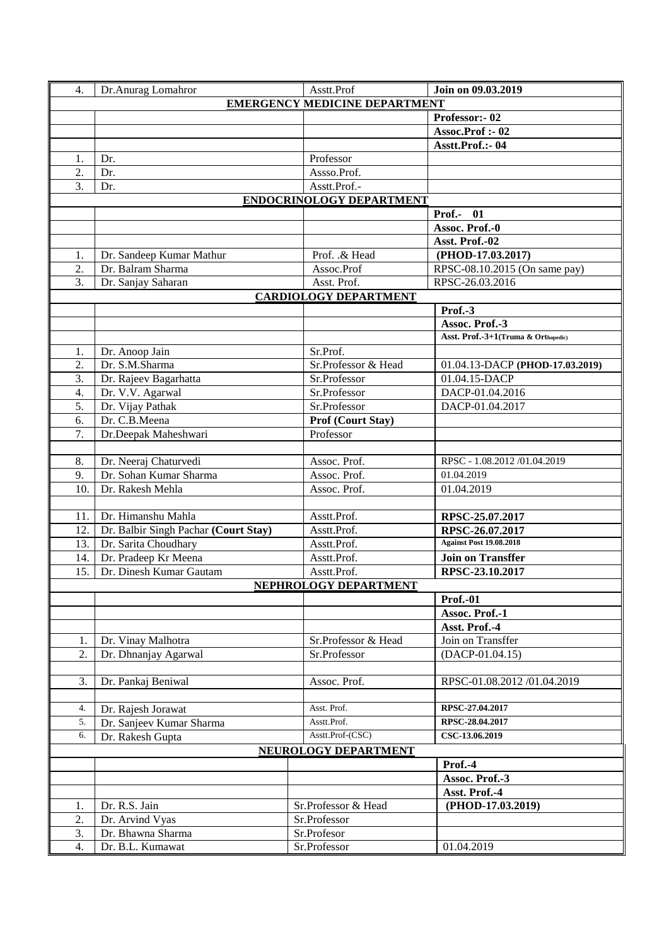| 4.                                   | Dr.Anurag Lomahror                    | Asstt.Prof                   | Join on 09.03.2019                  |  |
|--------------------------------------|---------------------------------------|------------------------------|-------------------------------------|--|
| <b>EMERGENCY MEDICINE DEPARTMENT</b> |                                       |                              |                                     |  |
|                                      |                                       |                              | Professor: - 02                     |  |
|                                      |                                       |                              | Assoc.Prof :- 02                    |  |
|                                      |                                       |                              | Asstt.Prof.:- 04                    |  |
| 1.                                   | Dr.                                   | Professor                    |                                     |  |
| 2.                                   | Dr.                                   | Assso.Prof.                  |                                     |  |
| 3.                                   | Dr.                                   | Asstt.Prof.-                 |                                     |  |
|                                      |                                       | ENDOCRINOLOGY DEPARTMENT     |                                     |  |
|                                      |                                       |                              | Prof.- $\overline{01}$              |  |
|                                      |                                       |                              | Assoc. Prof.-0                      |  |
|                                      |                                       |                              | Asst. Prof.-02                      |  |
| 1.                                   | Dr. Sandeep Kumar Mathur              | Prof. & Head                 | (PHOD-17.03.2017)                   |  |
| 2.                                   | Dr. Balram Sharma                     | Assoc.Prof                   | RPSC-08.10.2015 (On same pay)       |  |
| 3.                                   | Dr. Sanjay Saharan                    | Asst. Prof.                  | RPSC-26.03.2016                     |  |
|                                      |                                       | <b>CARDIOLOGY DEPARTMENT</b> |                                     |  |
|                                      |                                       |                              | Prof.-3                             |  |
|                                      |                                       |                              | Assoc. Prof.-3                      |  |
|                                      |                                       |                              | Asst. Prof.-3+1(Truma & Orthopedic) |  |
| 1.                                   | Dr. Anoop Jain                        | Sr.Prof.                     |                                     |  |
| 2.                                   | Dr. S.M.Sharma                        | Sr.Professor & Head          | 01.04.13-DACP (PHOD-17.03.2019)     |  |
| 3.                                   | Dr. Rajeev Bagarhatta                 | Sr.Professor                 | 01.04.15-DACP                       |  |
| 4.                                   | Dr. V.V. Agarwal                      | Sr.Professor                 | DACP-01.04.2016                     |  |
| 5.                                   | Dr. Vijay Pathak                      | Sr.Professor                 | DACP-01.04.2017                     |  |
| 6.                                   | Dr. C.B.Meena                         | Prof (Court Stay)            |                                     |  |
| 7.                                   | Dr.Deepak Maheshwari                  | Professor                    |                                     |  |
|                                      |                                       |                              |                                     |  |
| 8.                                   | Dr. Neeraj Chaturvedi                 | Assoc. Prof.                 | RPSC - 1.08.2012 /01.04.2019        |  |
| 9.                                   | Dr. Sohan Kumar Sharma                | Assoc. Prof.                 | 01.04.2019                          |  |
| 10.                                  | Dr. Rakesh Mehla                      | Assoc. Prof.                 | 01.04.2019                          |  |
|                                      |                                       |                              |                                     |  |
| 11.                                  | Dr. Himanshu Mahla                    | Asstt.Prof.                  | RPSC-25.07.2017                     |  |
| 12.                                  | Dr. Balbir Singh Pachar (Court Stay)  | Asstt.Prof.                  | RPSC-26.07.2017                     |  |
| 13.                                  | Dr. Sarita Choudhary                  | Asstt.Prof.                  | <b>Against Post 19.08.2018</b>      |  |
| 14.                                  | Dr. Pradeep Kr Meena                  | Asstt.Prof.                  | <b>Join on Transffer</b>            |  |
| 15.                                  | Dr. Dinesh Kumar Gautam               | Asstt.Prof.                  | RPSC-23.10.2017                     |  |
|                                      |                                       | NEPHROLOGY DEPARTMENT        |                                     |  |
|                                      |                                       |                              | <b>Prof.-01</b>                     |  |
|                                      |                                       |                              | Assoc. Prof.-1                      |  |
|                                      |                                       |                              | Asst. Prof.-4                       |  |
| 1.                                   | Dr. Vinay Malhotra                    | Sr.Professor & Head          | Join on Transffer                   |  |
| 2.                                   | Dr. Dhnanjay Agarwal                  | Sr.Professor                 | $(DACP-01.04.15)$                   |  |
|                                      |                                       |                              |                                     |  |
|                                      |                                       |                              |                                     |  |
| 3.                                   | Dr. Pankaj Beniwal                    | Assoc. Prof.                 | RPSC-01.08.2012 /01.04.2019         |  |
|                                      |                                       |                              |                                     |  |
| 4.                                   | Dr. Rajesh Jorawat                    | Asst. Prof.                  | RPSC-27.04.2017                     |  |
| 5.                                   | Dr. Sanjeev Kumar Sharma              | Asstt.Prof.                  | RPSC-28.04.2017                     |  |
| 6.                                   | Dr. Rakesh Gupta                      | Asstt.Prof-(CSC)             | CSC-13.06.2019                      |  |
|                                      |                                       | NEUROLOGY DEPARTMENT         |                                     |  |
|                                      |                                       |                              | Prof.-4                             |  |
|                                      |                                       |                              | Assoc. Prof.-3                      |  |
|                                      |                                       |                              | Asst. Prof.-4                       |  |
| 1.                                   | Dr. R.S. Jain                         | Sr.Professor & Head          | (PHOD-17.03.2019)                   |  |
| 2.                                   | Dr. Arvind Vyas                       | Sr.Professor                 |                                     |  |
| 3.<br>4.                             | Dr. Bhawna Sharma<br>Dr. B.L. Kumawat | Sr.Profesor<br>Sr.Professor  | 01.04.2019                          |  |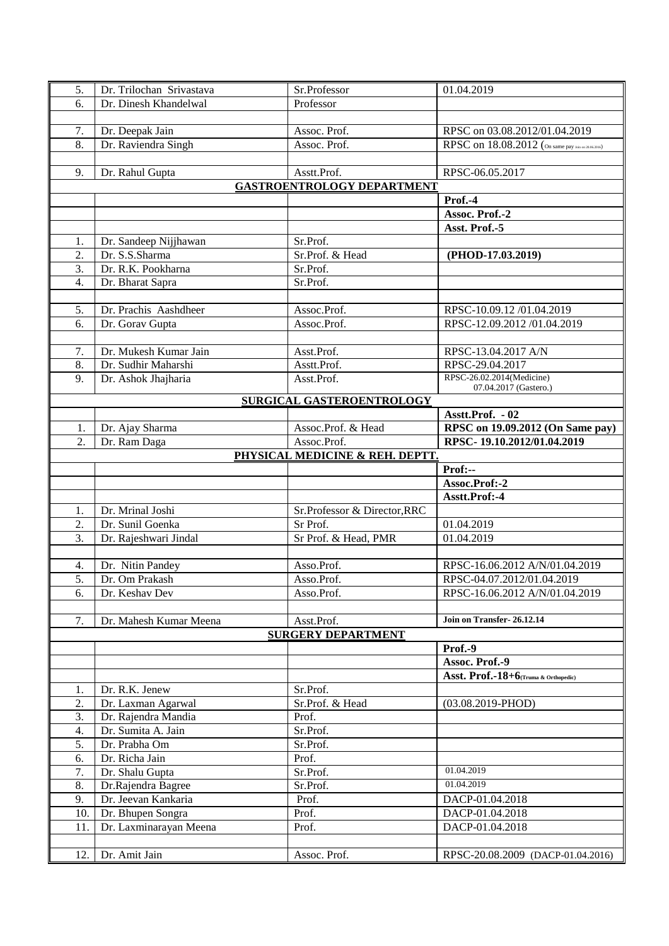| 5.               | Dr. Trilochan Srivastava | Sr.Professor                      | 01.04.2019                                          |
|------------------|--------------------------|-----------------------------------|-----------------------------------------------------|
| 6.               | Dr. Dinesh Khandelwal    | Professor                         |                                                     |
|                  |                          |                                   |                                                     |
| 7.               | Dr. Deepak Jain          | Assoc. Prof.                      | RPSC on 03.08.2012/01.04.2019                       |
| 8.               | Dr. Raviendra Singh      | Assoc. Prof.                      | RPSC on 18.08.2012 (On same pay Join on 20.06.2016) |
|                  |                          |                                   |                                                     |
| 9.               | Dr. Rahul Gupta          | Asstt.Prof.                       | RPSC-06.05.2017                                     |
|                  |                          | <b>GASTROENTROLOGY DEPARTMENT</b> |                                                     |
|                  |                          |                                   | Prof.-4                                             |
|                  |                          |                                   | Assoc. Prof.-2                                      |
|                  |                          |                                   | Asst. Prof.-5                                       |
| 1.               | Dr. Sandeep Nijjhawan    | Sr.Prof.                          |                                                     |
| 2.               | Dr. S.S.Sharma           | Sr.Prof. & Head                   | (PHOD-17.03.2019)                                   |
| 3.               | Dr. R.K. Pookharna       | Sr.Prof.                          |                                                     |
| $\overline{4}$ . | Dr. Bharat Sapra         | Sr.Prof.                          |                                                     |
|                  |                          |                                   |                                                     |
| 5.               | Dr. Prachis Aashdheer    | Assoc.Prof.                       | RPSC-10.09.12 /01.04.2019                           |
| 6.               | Dr. Gorav Gupta          | Assoc.Prof.                       | RPSC-12.09.2012 /01.04.2019                         |
|                  |                          |                                   |                                                     |
| 7.               | Dr. Mukesh Kumar Jain    | Asst.Prof.                        | RPSC-13.04.2017 A/N                                 |
| 8.               | Dr. Sudhir Maharshi      | Asstt.Prof.                       | RPSC-29.04.2017                                     |
| 9.               | Dr. Ashok Jhajharia      | Asst.Prof.                        | RPSC-26.02.2014(Medicine)                           |
|                  |                          |                                   | 07.04.2017 (Gastero.)                               |
|                  |                          | <b>SURGICAL GASTEROENTROLOGY</b>  |                                                     |
|                  |                          |                                   | Asstt.Prof. - 02                                    |
| 1.               | Dr. Ajay Sharma          | Assoc.Prof. & Head                | RPSC on 19.09.2012 (On Same pay)                    |
| 2.               | Dr. Ram Daga             | Assoc.Prof.                       | RPSC-19.10.2012/01.04.2019                          |
|                  |                          | PHYSICAL MEDICINE & REH. DEPTT.   |                                                     |
|                  |                          |                                   | Prof:--                                             |
|                  |                          |                                   | Assoc.Prof:-2                                       |
|                  |                          |                                   | Asstt.Prof:-4                                       |
| 1.               | Dr. Mrinal Joshi         | Sr.Professor & Director, RRC      |                                                     |
|                  |                          |                                   | 01.04.2019                                          |
| 2.               | Dr. Sunil Goenka         | Sr Prof.                          |                                                     |
| 3.               | Dr. Rajeshwari Jindal    | Sr Prof. & Head, PMR              | 01.04.2019                                          |
|                  |                          |                                   |                                                     |
| 4.               | Dr. Nitin Pandey         | Asso.Prof.                        | RPSC-16.06.2012 A/N/01.04.2019                      |
| 5.               | Dr. Om Prakash           | Asso.Prof.                        | RPSC-04.07.2012/01.04.2019                          |
| 6.               | Dr. Keshav Dev           | Asso.Prof.                        | RPSC-16.06.2012 A/N/01.04.2019                      |
|                  |                          |                                   |                                                     |
| 7.               | Dr. Mahesh Kumar Meena   | Asst.Prof.                        | Join on Transfer-26.12.14                           |
|                  |                          | <b>SURGERY DEPARTMENT</b>         |                                                     |
|                  |                          |                                   | Prof.-9                                             |
|                  |                          |                                   | Assoc. Prof.-9                                      |
|                  |                          |                                   | Asst. Prof.-18+6(Truma & Orthopedic)                |
| 1.               | Dr. R.K. Jenew           | Sr.Prof.                          |                                                     |
| 2.               | Dr. Laxman Agarwal       | Sr.Prof. & Head                   | $(03.08.2019 - PHOD)$                               |
| 3.               | Dr. Rajendra Mandia      | Prof.                             |                                                     |
| 4.               | Dr. Sumita A. Jain       | Sr.Prof.                          |                                                     |
| 5.               | Dr. Prabha Om            | Sr.Prof.                          |                                                     |
| 6.               | Dr. Richa Jain           | Prof.                             |                                                     |
| 7.               | Dr. Shalu Gupta          | Sr.Prof.                          | 01.04.2019                                          |
| 8.               | Dr.Rajendra Bagree       | Sr.Prof.                          | 01.04.2019                                          |
| 9.               | Dr. Jeevan Kankaria      | Prof.                             | DACP-01.04.2018                                     |
| 10.              | Dr. Bhupen Songra        | Prof.                             | DACP-01.04.2018                                     |
| 11.              | Dr. Laxminarayan Meena   | Prof.                             | DACP-01.04.2018                                     |
| 12.              | Dr. Amit Jain            | Assoc. Prof.                      | RPSC-20.08.2009 (DACP-01.04.2016)                   |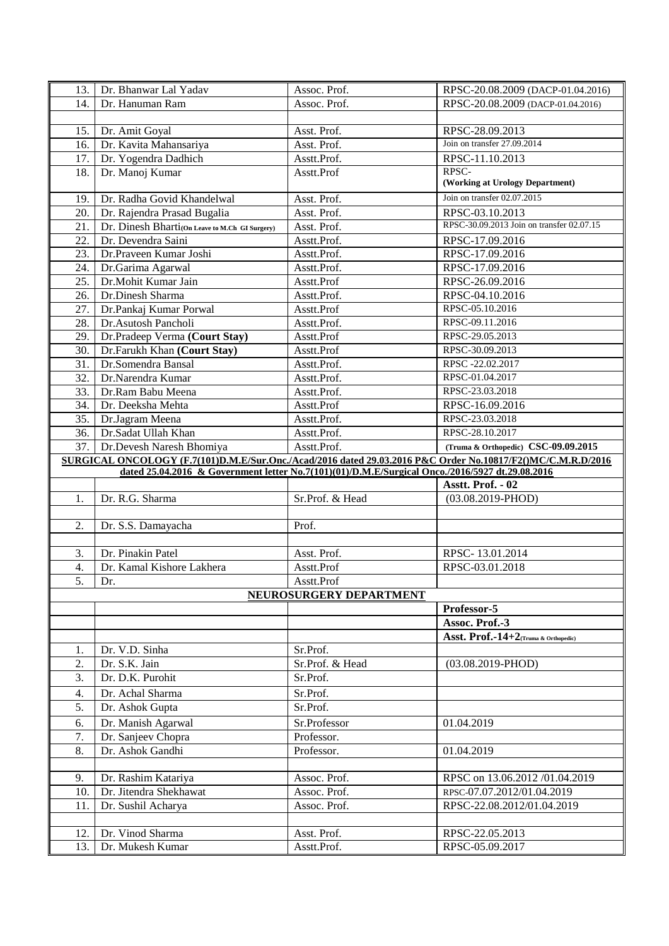| 13.                                                                                                         | Dr. Bhanwar Lal Yadav                                                                           | Assoc. Prof.            | RPSC-20.08.2009 (DACP-01.04.2016)         |  |
|-------------------------------------------------------------------------------------------------------------|-------------------------------------------------------------------------------------------------|-------------------------|-------------------------------------------|--|
| 14.                                                                                                         | Dr. Hanuman Ram                                                                                 | Assoc. Prof.            | RPSC-20.08.2009 (DACP-01.04.2016)         |  |
|                                                                                                             |                                                                                                 |                         |                                           |  |
| 15.                                                                                                         | Dr. Amit Goyal                                                                                  | Asst. Prof.             | RPSC-28.09.2013                           |  |
| 16.                                                                                                         | Dr. Kavita Mahansariya                                                                          | Asst. Prof.             | Join on transfer 27.09.2014               |  |
| 17.                                                                                                         | Dr. Yogendra Dadhich                                                                            | Asstt.Prof.             | RPSC-11.10.2013                           |  |
| 18.                                                                                                         | Dr. Manoj Kumar                                                                                 | Asstt.Prof              | RPSC-<br>(Working at Urology Department)  |  |
| 19.                                                                                                         | Dr. Radha Govid Khandelwal                                                                      | Asst. Prof.             | Join on transfer 02.07.2015               |  |
| 20.                                                                                                         | Dr. Rajendra Prasad Bugalia                                                                     | Asst. Prof.             | RPSC-03.10.2013                           |  |
| 21.                                                                                                         | Dr. Dinesh Bharti(On Leave to M.Ch GI Surgery)                                                  | Asst. Prof.             | RPSC-30.09.2013 Join on transfer 02.07.15 |  |
| 22.                                                                                                         | Dr. Devendra Saini                                                                              | Asstt.Prof.             | RPSC-17.09.2016                           |  |
| 23.                                                                                                         | Dr.Praveen Kumar Joshi                                                                          | Asstt.Prof.             | RPSC-17.09.2016                           |  |
| 24.                                                                                                         | Dr.Garima Agarwal                                                                               | Asstt.Prof.             | RPSC-17.09.2016                           |  |
| 25.                                                                                                         | Dr.Mohit Kumar Jain                                                                             | Asstt.Prof              | RPSC-26.09.2016                           |  |
| 26.                                                                                                         | Dr.Dinesh Sharma                                                                                | Asstt.Prof.             | RPSC-04.10.2016                           |  |
| 27.                                                                                                         | Dr.Pankaj Kumar Porwal                                                                          | Asstt.Prof              | RPSC-05.10.2016                           |  |
| 28.                                                                                                         | Dr.Asutosh Pancholi                                                                             | Asstt.Prof.             | RPSC-09.11.2016                           |  |
| 29.                                                                                                         | Dr.Pradeep Verma (Court Stay)                                                                   | Asstt.Prof              | RPSC-29.05.2013                           |  |
| 30.                                                                                                         | Dr.Farukh Khan (Court Stay)                                                                     | Asstt.Prof              | RPSC-30.09.2013                           |  |
| 31.                                                                                                         | Dr.Somendra Bansal                                                                              | Asstt.Prof.             | RPSC-22.02.2017                           |  |
| 32.                                                                                                         | Dr.Narendra Kumar                                                                               | Asstt.Prof.             | RPSC-01.04.2017                           |  |
| 33.                                                                                                         | Dr.Ram Babu Meena                                                                               | Asstt.Prof.             | RPSC-23.03.2018                           |  |
| 34.                                                                                                         | Dr. Deeksha Mehta                                                                               | Asstt.Prof              | RPSC-16.09.2016                           |  |
| 35.                                                                                                         | Dr.Jagram Meena                                                                                 | Asstt.Prof.             | RPSC-23.03.2018                           |  |
| 36.                                                                                                         | Dr.Sadat Ullah Khan                                                                             | Asstt.Prof.             | RPSC-28.10.2017                           |  |
| 37.                                                                                                         | Dr.Devesh Naresh Bhomiya                                                                        | Asstt.Prof.             | (Truma & Orthopedic) CSC-09.09.2015       |  |
| SURGICAL ONCOLOGY (F.7(101)D.M.E/Sur.Onc./Acad/2016 dated 29.03.2016 P&C Order No.10817/F2()MC/C.M.R.D/2016 |                                                                                                 |                         |                                           |  |
|                                                                                                             |                                                                                                 |                         |                                           |  |
|                                                                                                             | dated 25.04.2016 & Government letter No.7(101)(01)/D.M.E/Surgical Onco./2016/5927 dt.29.08.2016 |                         |                                           |  |
|                                                                                                             |                                                                                                 |                         | Asstt. Prof. - 02                         |  |
| 1.                                                                                                          | Dr. R.G. Sharma                                                                                 | Sr.Prof. & Head         | $(03.08.2019 - PHOD)$                     |  |
|                                                                                                             |                                                                                                 |                         |                                           |  |
| 2.                                                                                                          | Dr. S.S. Damayacha                                                                              | Prof.                   |                                           |  |
|                                                                                                             |                                                                                                 |                         |                                           |  |
| 3.                                                                                                          | Dr. Pinakin Patel                                                                               | Asst. Prof.             | RPSC-13.01.2014                           |  |
| $\overline{4}$ .                                                                                            | Dr. Kamal Kishore Lakhera                                                                       | Asstt.Prof              | RPSC-03.01.2018                           |  |
| $\overline{5}$ .                                                                                            | Dr.                                                                                             | Asstt.Prof              |                                           |  |
|                                                                                                             |                                                                                                 | NEUROSURGERY DEPARTMENT |                                           |  |
|                                                                                                             |                                                                                                 |                         | Professor-5                               |  |
|                                                                                                             |                                                                                                 |                         | Assoc. Prof.-3                            |  |
|                                                                                                             |                                                                                                 |                         | Asst. Prof.-14+2(Truma & Orthopedic)      |  |
| 1.                                                                                                          | Dr. V.D. Sinha                                                                                  | Sr.Prof.                |                                           |  |
| 2.                                                                                                          | Dr. S.K. Jain                                                                                   | Sr.Prof. & Head         | $(03.08.2019 - PHOD)$                     |  |
| 3.                                                                                                          | Dr. D.K. Purohit                                                                                | Sr.Prof.                |                                           |  |
| 4.                                                                                                          | Dr. Achal Sharma                                                                                | Sr.Prof.                |                                           |  |
| 5.                                                                                                          | Dr. Ashok Gupta                                                                                 | Sr.Prof.                |                                           |  |
| 6.                                                                                                          | Dr. Manish Agarwal                                                                              | Sr.Professor            | 01.04.2019                                |  |
| 7.                                                                                                          | Dr. Sanjeev Chopra                                                                              | Professor.              |                                           |  |
| 8.                                                                                                          | Dr. Ashok Gandhi                                                                                | Professor.              | 01.04.2019                                |  |
|                                                                                                             |                                                                                                 |                         |                                           |  |
| 9.                                                                                                          | Dr. Rashim Katariya                                                                             | Assoc. Prof.            | RPSC on 13.06.2012 /01.04.2019            |  |
| 10.                                                                                                         | Dr. Jitendra Shekhawat                                                                          | Assoc. Prof.            | RPSC-07.07.2012/01.04.2019                |  |
| 11.                                                                                                         | Dr. Sushil Acharya                                                                              | Assoc. Prof.            | RPSC-22.08.2012/01.04.2019                |  |
|                                                                                                             |                                                                                                 |                         |                                           |  |
| 12.                                                                                                         | Dr. Vinod Sharma                                                                                | Asst. Prof.             | RPSC-22.05.2013                           |  |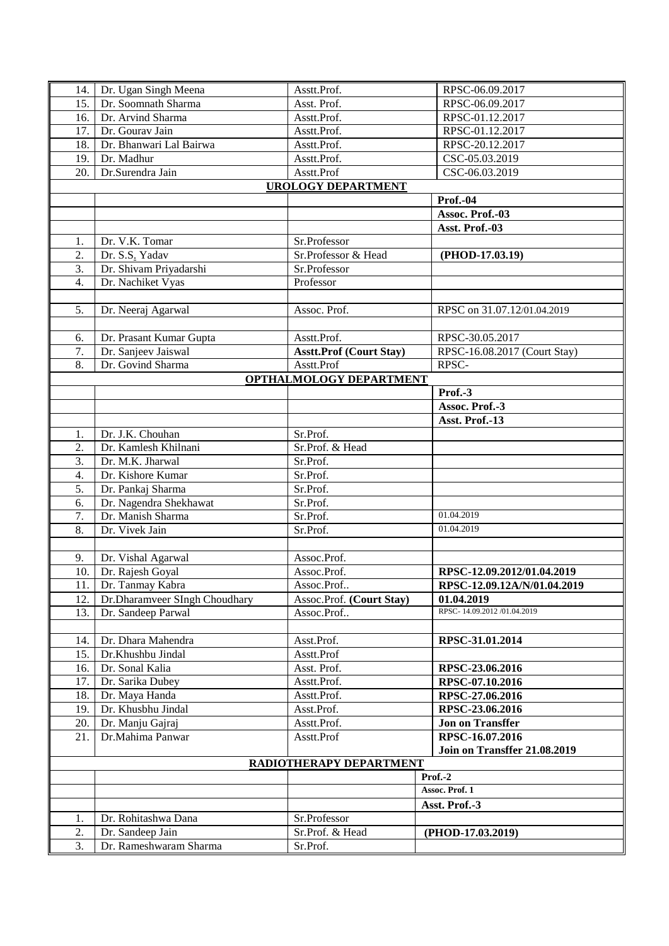| 14.                       | Dr. Ugan Singh Meena          | Asstt.Prof.                    | RPSC-06.09.2017              |  |
|---------------------------|-------------------------------|--------------------------------|------------------------------|--|
| 15.                       | Dr. Soomnath Sharma           | Asst. Prof.                    | RPSC-06.09.2017              |  |
| 16.                       | Dr. Arvind Sharma             | Asstt.Prof.                    | RPSC-01.12.2017              |  |
| 17.                       | Dr. Gourav Jain               | Asstt.Prof.                    | RPSC-01.12.2017              |  |
| 18.                       | Dr. Bhanwari Lal Bairwa       | Asstt.Prof.                    | RPSC-20.12.2017              |  |
| 19.                       | Dr. Madhur                    | Asstt.Prof.                    | CSC-05.03.2019               |  |
| 20.                       | Dr.Surendra Jain              | Asstt.Prof                     | CSC-06.03.2019               |  |
| <b>UROLOGY DEPARTMENT</b> |                               |                                |                              |  |
|                           |                               |                                | <b>Prof.-04</b>              |  |
|                           |                               |                                | Assoc. Prof.-03              |  |
|                           |                               |                                | Asst. Prof.-03               |  |
| 1.                        | Dr. V.K. Tomar                | Sr.Professor                   |                              |  |
| 2.                        | Dr. S.S. Yadav                | Sr.Professor & Head            | (PHOD-17.03.19)              |  |
| 3.                        | Dr. Shivam Priyadarshi        | Sr.Professor                   |                              |  |
| 4.                        | Dr. Nachiket Vyas             | Professor                      |                              |  |
|                           |                               |                                |                              |  |
| 5.                        | Dr. Neeraj Agarwal            | Assoc. Prof.                   | RPSC on 31.07.12/01.04.2019  |  |
|                           |                               |                                |                              |  |
| 6.                        | Dr. Prasant Kumar Gupta       | Asstt.Prof.                    | RPSC-30.05.2017              |  |
| 7.                        | Dr. Sanjeev Jaiswal           | <b>Asstt.Prof (Court Stay)</b> | RPSC-16.08.2017 (Court Stay) |  |
| 8.                        | Dr. Govind Sharma             | Asstt.Prof                     | RPSC-                        |  |
|                           |                               | OPTHALMOLOGY DEPARTMENT        |                              |  |
|                           |                               |                                | Prof.-3                      |  |
|                           |                               |                                | Assoc. Prof.-3               |  |
|                           |                               |                                | Asst. Prof.-13               |  |
| 1.                        | Dr. J.K. Chouhan              | Sr.Prof.                       |                              |  |
| 2.                        | Dr. Kamlesh Khilnani          | Sr.Prof. & Head                |                              |  |
| 3.                        | Dr. M.K. Jharwal              | Sr.Prof.                       |                              |  |
| $\overline{4}$ .          | Dr. Kishore Kumar             | Sr.Prof.                       |                              |  |
| 5.                        | Dr. Pankaj Sharma             | Sr.Prof.                       |                              |  |
| 6.                        | Dr. Nagendra Shekhawat        | Sr.Prof.                       |                              |  |
| 7.                        | Dr. Manish Sharma             | Sr.Prof.                       | 01.04.2019                   |  |
| 8.                        | Dr. Vivek Jain                | Sr.Prof.                       | 01.04.2019                   |  |
|                           |                               |                                |                              |  |
| 9.                        | Dr. Vishal Agarwal            | Assoc.Prof.                    |                              |  |
| 10.                       | Dr. Rajesh Goyal              | Assoc.Prof.                    | RPSC-12.09.2012/01.04.2019   |  |
|                           | 11. Dr. Tanmay Kabra          | Assoc.Prof                     | RPSC-12.09.12A/N/01.04.2019  |  |
| 12.                       | Dr.Dharamveer SIngh Choudhary | Assoc.Prof. (Court Stay)       | 01.04.2019                   |  |
| 13.                       | Dr. Sandeep Parwal            | Assoc.Prof                     | RPSC-14.09.2012/01.04.2019   |  |
|                           |                               |                                |                              |  |
| 14.                       | Dr. Dhara Mahendra            | Asst.Prof.                     | RPSC-31.01.2014              |  |
| 15.                       | Dr.Khushbu Jindal             | Asstt.Prof                     |                              |  |
| 16.                       | Dr. Sonal Kalia               | Asst. Prof.                    | RPSC-23.06.2016              |  |
| 17.                       | Dr. Sarika Dubey              | Asstt.Prof.                    | RPSC-07.10.2016              |  |
| 18.                       | Dr. Maya Handa                | Asstt.Prof.                    | RPSC-27.06.2016              |  |
| 19.                       | Dr. Khusbhu Jindal            | Asst.Prof.                     | RPSC-23.06.2016              |  |
| 20.                       | Dr. Manju Gajraj              | Asstt.Prof.                    | <b>Jon on Transffer</b>      |  |
| 21.                       | Dr.Mahima Panwar              | Asstt.Prof                     | RPSC-16.07.2016              |  |
|                           |                               |                                | Join on Transffer 21.08.2019 |  |
|                           |                               | RADIOTHERAPY DEPARTMENT        |                              |  |
|                           |                               |                                | Prof.-2                      |  |
|                           |                               |                                | Assoc. Prof. 1               |  |
|                           |                               |                                | Asst. Prof.-3                |  |
| 1.                        | Dr. Rohitashwa Dana           | Sr.Professor                   |                              |  |
| 2.                        | Dr. Sandeep Jain              | Sr.Prof. & Head                | (PHOD-17.03.2019)            |  |
| 3.                        | Dr. Rameshwaram Sharma        | Sr.Prof.                       |                              |  |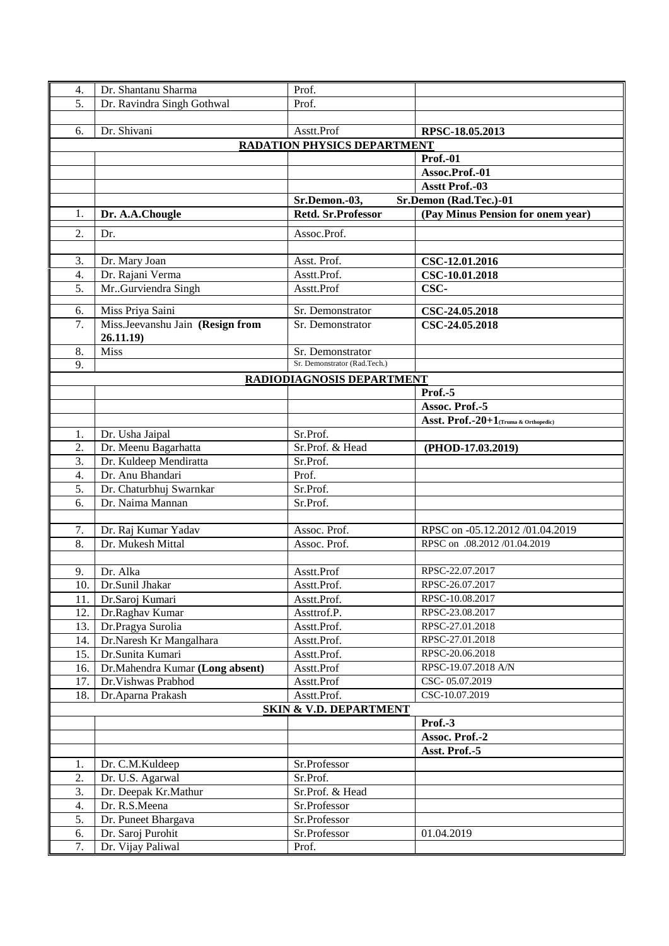| 4.  | Dr. Shantanu Sharma              | Prof.                              |                                      |  |  |
|-----|----------------------------------|------------------------------------|--------------------------------------|--|--|
| 5.  | Dr. Ravindra Singh Gothwal       | Prof.                              |                                      |  |  |
|     |                                  |                                    |                                      |  |  |
| 6.  | Dr. Shivani                      | Asstt.Prof                         | RPSC-18.05.2013                      |  |  |
|     |                                  | <b>RADATION PHYSICS DEPARTMENT</b> |                                      |  |  |
|     |                                  |                                    | <b>Prof.-01</b>                      |  |  |
|     |                                  |                                    | Assoc.Prof.-01                       |  |  |
|     |                                  |                                    | <b>Asstt Prof.-03</b>                |  |  |
|     |                                  | Sr.Demon.-03,                      | Sr.Demon (Rad.Tec.)-01               |  |  |
| 1.  | Dr. A.A.Chougle                  | Retd. Sr.Professor                 | (Pay Minus Pension for onem year)    |  |  |
| 2.  | Dr.                              | Assoc.Prof.                        |                                      |  |  |
|     |                                  |                                    |                                      |  |  |
| 3.  |                                  | Asst. Prof.                        |                                      |  |  |
| 4.  | Dr. Mary Joan                    | Asstt.Prof.                        | CSC-12.01.2016                       |  |  |
|     | Dr. Rajani Verma                 |                                    | CSC-10.01.2018<br>CSC-               |  |  |
| 5.  | Mr. Gurviendra Singh             | Asstt.Prof                         |                                      |  |  |
| 6.  | Miss Priya Saini                 | Sr. Demonstrator                   | CSC-24.05.2018                       |  |  |
| 7.  | Miss.Jeevanshu Jain (Resign from | Sr. Demonstrator                   | CSC-24.05.2018                       |  |  |
|     | 26.11.19                         |                                    |                                      |  |  |
| 8.  | <b>Miss</b>                      | Sr. Demonstrator                   |                                      |  |  |
| 9.  |                                  | Sr. Demonstrator (Rad.Tech.)       |                                      |  |  |
|     |                                  | RADIODIAGNOSIS DEPARTMENT          |                                      |  |  |
|     |                                  |                                    | Prof.-5                              |  |  |
|     |                                  |                                    | Assoc. Prof.-5                       |  |  |
|     |                                  |                                    | Asst. Prof.-20+1(Truma & Orthopedic) |  |  |
| 1.  | Dr. Usha Jaipal                  | Sr.Prof.                           |                                      |  |  |
| 2.  | Dr. Meenu Bagarhatta             | Sr.Prof. & Head                    | (PHOD-17.03.2019)                    |  |  |
| 3.  | Dr. Kuldeep Mendiratta           | Sr.Prof.                           |                                      |  |  |
| 4.  | Dr. Anu Bhandari                 | Prof.                              |                                      |  |  |
| 5.  | Dr. Chaturbhuj Swarnkar          | Sr.Prof.                           |                                      |  |  |
| 6.  | Dr. Naima Mannan                 | Sr.Prof.                           |                                      |  |  |
|     |                                  |                                    |                                      |  |  |
| 7.  | Dr. Raj Kumar Yadav              | Assoc. Prof.                       | RPSC on -05.12.2012 /01.04.2019      |  |  |
| 8.  | Dr. Mukesh Mittal                | Assoc. Prof.                       | RPSC on .08.2012 /01.04.2019         |  |  |
|     |                                  |                                    |                                      |  |  |
| 9.  | Dr. Alka                         | Asstt.Prof                         | RPSC-22.07.2017                      |  |  |
|     | 10. Dr.Sunil Jhakar              | Asstt.Prof.                        | RPSC-26.07.2017                      |  |  |
| 11. | Dr.Saroj Kumari                  | Asstt.Prof.                        | RPSC-10.08.2017                      |  |  |
| 12. | Dr.Raghav Kumar                  | Assttrof.P.                        | RPSC-23.08.2017                      |  |  |
| 13. | Dr.Pragya Surolia                | Asstt.Prof.                        | RPSC-27.01.2018                      |  |  |
| 14. | Dr.Naresh Kr Mangalhara          | Asstt.Prof.                        | RPSC-27.01.2018                      |  |  |
| 15. | Dr.Sunita Kumari                 | Asstt.Prof.                        | RPSC-20.06.2018                      |  |  |
| 16. | Dr.Mahendra Kumar (Long absent)  | Asstt.Prof                         | RPSC-19.07.2018 A/N                  |  |  |
| 17. | Dr. Vishwas Prabhod              | Asstt.Prof                         | CSC-05.07.2019                       |  |  |
| 18. | Dr.Aparna Prakash                | Asstt.Prof.                        | CSC-10.07.2019                       |  |  |
|     |                                  | <b>SKIN &amp; V.D. DEPARTMENT</b>  |                                      |  |  |
|     | Prof.-3                          |                                    |                                      |  |  |
|     |                                  |                                    | Assoc. Prof.-2                       |  |  |
|     |                                  |                                    | Asst. Prof.-5                        |  |  |
| 1.  | Dr. C.M.Kuldeep                  | Sr.Professor                       |                                      |  |  |
| 2.  | Dr. U.S. Agarwal                 | Sr.Prof.                           |                                      |  |  |
| 3.  | Dr. Deepak Kr.Mathur             | Sr.Prof. & Head                    |                                      |  |  |
| 4.  | Dr. R.S.Meena                    | Sr.Professor                       |                                      |  |  |
| 5.  | Dr. Puneet Bhargava              | Sr.Professor                       |                                      |  |  |
| 6.  | Dr. Saroj Purohit                | Sr.Professor                       | 01.04.2019                           |  |  |
| 7.  | Dr. Vijay Paliwal                | Prof.                              |                                      |  |  |
|     |                                  |                                    |                                      |  |  |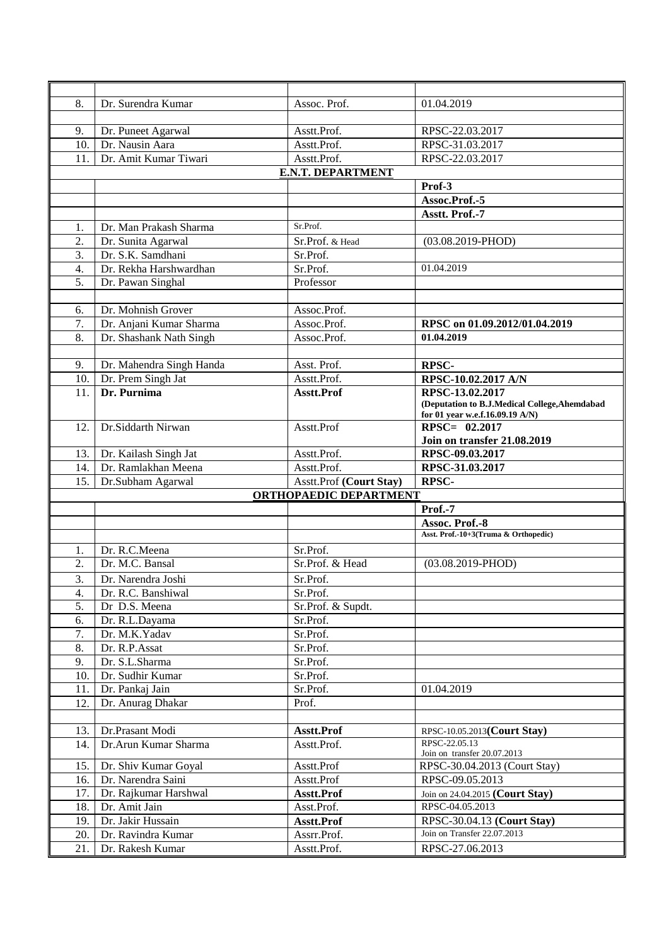| 8.               | Dr. Surendra Kumar                           | Assoc. Prof.                  | 01.04.2019                                     |  |  |
|------------------|----------------------------------------------|-------------------------------|------------------------------------------------|--|--|
|                  |                                              |                               |                                                |  |  |
| 9.               | Dr. Puneet Agarwal                           | Asstt.Prof.                   | RPSC-22.03.2017                                |  |  |
| 10.              | Dr. Nausin Aara                              | Asstt.Prof.                   | RPSC-31.03.2017                                |  |  |
| 11.              | Dr. Amit Kumar Tiwari                        | Asstt.Prof.                   | RPSC-22.03.2017                                |  |  |
|                  | <b>E.N.T. DEPARTMENT</b>                     |                               |                                                |  |  |
|                  |                                              |                               | Prof-3                                         |  |  |
|                  |                                              |                               | Assoc.Prof.-5                                  |  |  |
|                  |                                              |                               | Asstt. Prof.-7                                 |  |  |
| 1.               | Dr. Man Prakash Sharma                       | Sr.Prof.                      |                                                |  |  |
| 2.               | Dr. Sunita Agarwal                           | Sr.Prof. & Head               | $(03.08.2019 - PHOD)$                          |  |  |
| 3.               | Dr. S.K. Samdhani                            | Sr.Prof.                      |                                                |  |  |
| $\overline{4}$ . | Dr. Rekha Harshwardhan                       | Sr.Prof.                      | 01.04.2019                                     |  |  |
| 5.               | Dr. Pawan Singhal                            | Professor                     |                                                |  |  |
|                  |                                              |                               |                                                |  |  |
| 6.               | Dr. Mohnish Grover                           | Assoc.Prof.                   |                                                |  |  |
| 7.               | Dr. Anjani Kumar Sharma                      | Assoc.Prof.                   | RPSC on 01.09.2012/01.04.2019                  |  |  |
| 8.               | Dr. Shashank Nath Singh                      | Assoc.Prof.                   | 01.04.2019                                     |  |  |
|                  |                                              |                               |                                                |  |  |
| 9.               | Dr. Mahendra Singh Handa                     | Asst. Prof.                   | <b>RPSC-</b>                                   |  |  |
| 10.              | Dr. Prem Singh Jat                           | Asstt.Prof.                   | RPSC-10.02.2017 A/N                            |  |  |
| 11.              | Dr. Purnima                                  | Asstt.Prof                    | RPSC-13.02.2017                                |  |  |
|                  |                                              |                               | (Deputation to B.J.Medical College, Ahemdabad  |  |  |
|                  |                                              |                               | for 01 year w.e.f.16.09.19 A/N)                |  |  |
| 12.              | Dr.Siddarth Nirwan                           | Asstt.Prof                    | RPSC= 02.2017                                  |  |  |
|                  |                                              |                               | <b>Join on transfer 21.08.2019</b>             |  |  |
| 13.<br>14.       | Dr. Kailash Singh Jat<br>Dr. Ramlakhan Meena | Asstt.Prof.<br>Asstt.Prof.    | RPSC-09.03.2017<br>RPSC-31.03.2017             |  |  |
|                  |                                              |                               |                                                |  |  |
|                  |                                              |                               |                                                |  |  |
| 15.              | Dr.Subham Agarwal                            | Asstt.Prof (Court Stay)       | RPSC-                                          |  |  |
|                  |                                              | <b>ORTHOPAEDIC DEPARTMENT</b> |                                                |  |  |
|                  |                                              |                               | Prof.-7                                        |  |  |
|                  |                                              |                               | Assoc. Prof.-8                                 |  |  |
|                  |                                              |                               | Asst. Prof.-10+3(Truma & Orthopedic)           |  |  |
| 1.               | Dr. R.C.Meena                                | Sr.Prof.                      |                                                |  |  |
| 2.               | Dr. M.C. Bansal                              | Sr.Prof. & Head               | $(03.08.2019 - PHOD)$                          |  |  |
| 3.               | Dr. Narendra Joshi                           | Sr.Prof.                      |                                                |  |  |
| 4.               | Dr. R.C. Banshiwal                           | Sr.Prof.                      |                                                |  |  |
| 5.               | Dr D.S. Meena                                | Sr.Prof. & Supdt.             |                                                |  |  |
| 6.               | Dr. R.L.Dayama                               | Sr.Prof.                      |                                                |  |  |
| 7.               | Dr. M.K.Yadav                                | Sr.Prof.                      |                                                |  |  |
| 8.               | Dr. R.P.Assat                                | Sr.Prof.                      |                                                |  |  |
| 9.               | Dr. S.L.Sharma                               | Sr.Prof.                      |                                                |  |  |
| 10.              | Dr. Sudhir Kumar                             | Sr.Prof.                      |                                                |  |  |
| 11.              | Dr. Pankaj Jain                              | Sr.Prof.                      | 01.04.2019                                     |  |  |
| 12.              | Dr. Anurag Dhakar                            | Prof.                         |                                                |  |  |
| 13.              | Dr.Prasant Modi                              |                               |                                                |  |  |
| 14.              | Dr.Arun Kumar Sharma                         | Asstt.Prof<br>Asstt.Prof.     | RPSC-10.05.2013(Court Stay)<br>RPSC-22.05.13   |  |  |
|                  |                                              |                               | Join on transfer 20.07.2013                    |  |  |
| 15.              | Dr. Shiv Kumar Goyal                         | Asstt.Prof                    | RPSC-30.04.2013 (Court Stay)                   |  |  |
| 16.              | Dr. Narendra Saini                           | Asstt.Prof                    | RPSC-09.05.2013                                |  |  |
| 17.              | Dr. Rajkumar Harshwal                        | Asstt.Prof                    | Join on 24.04.2015 (Court Stay)                |  |  |
| 18.              | Dr. Amit Jain                                | Asst.Prof.                    | RPSC-04.05.2013                                |  |  |
| 19.              | Dr. Jakir Hussain                            | Asstt.Prof                    | RPSC-30.04.13 (Court Stay)                     |  |  |
| 20.<br>21.       | Dr. Ravindra Kumar<br>Dr. Rakesh Kumar       | Assrr.Prof.<br>Asstt.Prof.    | Join on Transfer 22.07.2013<br>RPSC-27.06.2013 |  |  |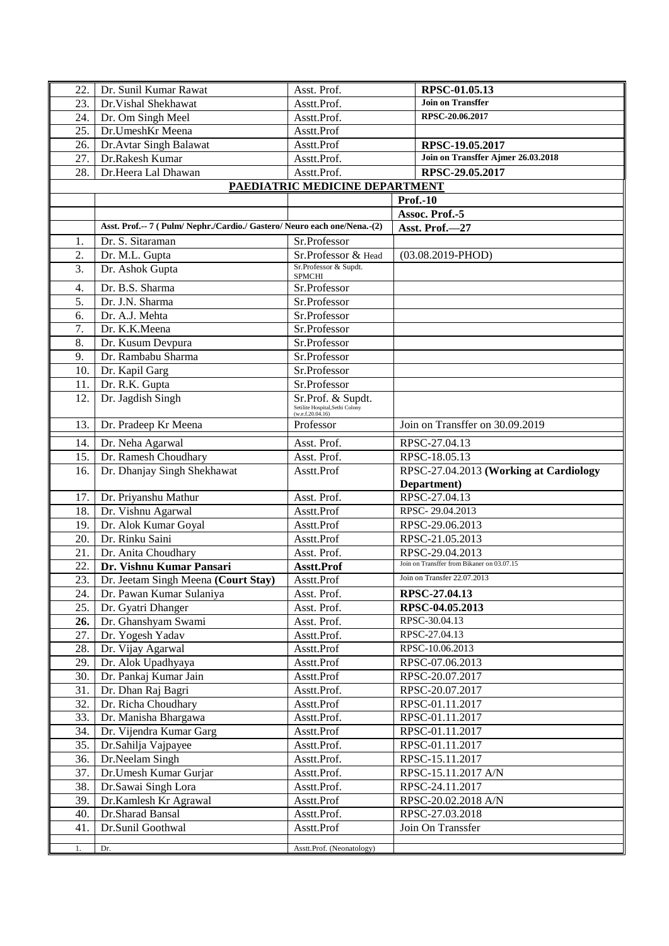| 22. | Dr. Sunil Kumar Rawat                                                  | Asst. Prof.                                                              | RPSC-01.05.13                              |
|-----|------------------------------------------------------------------------|--------------------------------------------------------------------------|--------------------------------------------|
| 23. | Dr. Vishal Shekhawat                                                   | Asstt.Prof.                                                              | <b>Join on Transffer</b>                   |
| 24. | Dr. Om Singh Meel                                                      | Asstt.Prof.                                                              | RPSC-20.06.2017                            |
| 25. | Dr.UmeshKr Meena                                                       | Asstt.Prof                                                               |                                            |
| 26. | Dr. Avtar Singh Balawat                                                | Asstt.Prof                                                               | RPSC-19.05.2017                            |
| 27. | Dr.Rakesh Kumar                                                        | Asstt.Prof.                                                              | Join on Transffer Ajmer 26.03.2018         |
| 28. | Dr.Heera Lal Dhawan                                                    | Asstt.Prof.                                                              | RPSC-29.05.2017                            |
|     |                                                                        | PAEDIATRIC MEDICINE DEPARTMENT                                           |                                            |
|     |                                                                        |                                                                          | <b>Prof.-10</b>                            |
|     |                                                                        |                                                                          | Assoc. Prof.-5                             |
|     | Asst. Prof.-- 7 (Pulm/Nephr./Cardio./ Gastero/Neuro each one/Nena.-(2) |                                                                          | Asst. Prof.-27                             |
| 1.  | Dr. S. Sitaraman                                                       | Sr.Professor                                                             |                                            |
| 2.  | Dr. M.L. Gupta                                                         | Sr.Professor & Head                                                      | $(03.08.2019 - PHOD)$                      |
| 3.  | Dr. Ashok Gupta                                                        | Sr.Professor & Supdt.<br><b>SPMCHI</b>                                   |                                            |
| 4.  | Dr. B.S. Sharma                                                        | Sr.Professor                                                             |                                            |
| 5.  | Dr. J.N. Sharma                                                        | Sr.Professor                                                             |                                            |
| 6.  | Dr. A.J. Mehta                                                         | Sr.Professor                                                             |                                            |
| 7.  | Dr. K.K.Meena                                                          | Sr.Professor                                                             |                                            |
| 8.  | Dr. Kusum Devpura                                                      | Sr.Professor                                                             |                                            |
| 9.  | Dr. Rambabu Sharma                                                     | Sr.Professor                                                             |                                            |
| 10. | Dr. Kapil Garg                                                         | Sr.Professor                                                             |                                            |
| 11. | Dr. R.K. Gupta                                                         | Sr.Professor                                                             |                                            |
| 12. | Dr. Jagdish Singh                                                      | Sr.Prof. & Supdt.<br>Setilite Hospital, Sethi Colony<br>(w.e.f.20.04.16) |                                            |
| 13. | Dr. Pradeep Kr Meena                                                   | Professor                                                                | Join on Transffer on 30.09.2019            |
| 14. | Dr. Neha Agarwal                                                       | Asst. Prof.                                                              | RPSC-27.04.13                              |
| 15. | Dr. Ramesh Choudhary                                                   | Asst. Prof.                                                              | RPSC-18.05.13                              |
| 16. | Dr. Dhanjay Singh Shekhawat                                            | Asstt.Prof                                                               | RPSC-27.04.2013 (Working at Cardiology     |
|     |                                                                        |                                                                          | Department)                                |
| 17. | Dr. Priyanshu Mathur                                                   | Asst. Prof.                                                              | RPSC-27.04.13                              |
| 18. | Dr. Vishnu Agarwal                                                     | Asstt.Prof                                                               | RPSC-29.04.2013                            |
| 19. | Dr. Alok Kumar Goyal                                                   | Asstt.Prof                                                               | RPSC-29.06.2013                            |
| 20. | Dr. Rinku Saini                                                        | Asstt.Prof                                                               | RPSC-21.05.2013                            |
| 21. | Dr. Anita Choudhary                                                    | Asst. Prof.                                                              | RPSC-29.04.2013                            |
| 22. | Dr. Vishnu Kumar Pansari                                               | Asstt.Prof                                                               | Join on Transffer from Bikaner on 03.07.15 |
| 23. | Dr. Jeetam Singh Meena (Court Stay)                                    | Asstt.Prof                                                               | Join on Transfer 22.07.2013                |
| 24. | Dr. Pawan Kumar Sulaniya                                               | Asst. Prof.                                                              | RPSC-27.04.13                              |
| 25. | Dr. Gyatri Dhanger                                                     | Asst. Prof.                                                              | RPSC-04.05.2013                            |
| 26. | Dr. Ghanshyam Swami                                                    | Asst. Prof.                                                              | RPSC-30.04.13                              |
| 27. | Dr. Yogesh Yadav                                                       | Asstt.Prof.                                                              | RPSC-27.04.13                              |
| 28. | Dr. Vijay Agarwal                                                      | Asstt.Prof                                                               | RPSC-10.06.2013                            |
| 29. | Dr. Alok Upadhyaya                                                     | Asstt.Prof                                                               | RPSC-07.06.2013                            |
| 30. | Dr. Pankaj Kumar Jain                                                  | Asstt.Prof                                                               | RPSC-20.07.2017                            |
| 31. | Dr. Dhan Raj Bagri                                                     | Asstt.Prof.                                                              | RPSC-20.07.2017                            |
| 32. | Dr. Richa Choudhary                                                    | Asstt.Prof                                                               | RPSC-01.11.2017                            |
| 33. | Dr. Manisha Bhargawa                                                   | Asstt.Prof.                                                              | RPSC-01.11.2017                            |
| 34. | Dr. Vijendra Kumar Garg                                                | Asstt.Prof                                                               | RPSC-01.11.2017                            |
| 35. | Dr.Sahilja Vajpayee                                                    | Asstt.Prof.                                                              | RPSC-01.11.2017                            |
| 36. | Dr.Neelam Singh                                                        | Asstt.Prof.                                                              | RPSC-15.11.2017                            |
| 37. | Dr.Umesh Kumar Gurjar                                                  | Asstt.Prof.                                                              | RPSC-15.11.2017 A/N                        |
| 38. | Dr.Sawai Singh Lora                                                    | Asstt.Prof.                                                              | RPSC-24.11.2017                            |
| 39. | Dr.Kamlesh Kr Agrawal                                                  | Asstt.Prof                                                               | RPSC-20.02.2018 A/N                        |
| 40. | Dr.Sharad Bansal                                                       | Asstt.Prof.                                                              | RPSC-27.03.2018                            |
| 41. | Dr.Sunil Goothwal                                                      | Asstt.Prof                                                               | Join On Transsfer                          |
| 1.  | Dr.                                                                    | Asstt.Prof. (Neonatology)                                                |                                            |
|     |                                                                        |                                                                          |                                            |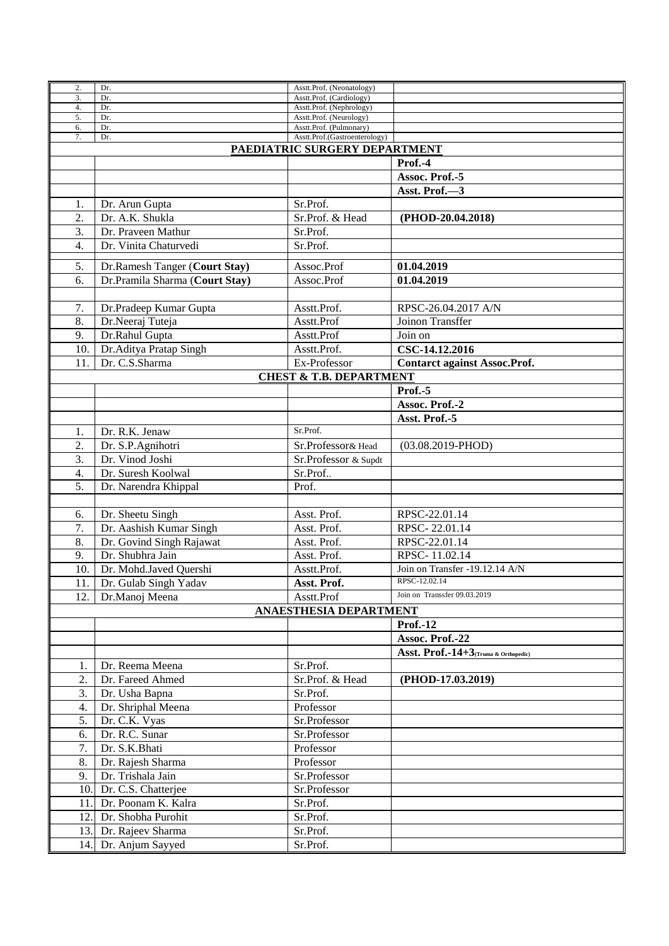| 2.       | Dr.                                      | Asstt.Prof. (Neonatology)                           |                                      |  |  |
|----------|------------------------------------------|-----------------------------------------------------|--------------------------------------|--|--|
| 3.       | Dr.                                      | Asstt.Prof. (Cardiology)                            |                                      |  |  |
| 4.<br>5. | Dr.<br>Dr.                               | Asstt.Prof. (Nephrology)<br>Asstt.Prof. (Neurology) |                                      |  |  |
| 6.       | Dr.                                      | Asstt.Prof. (Pulmonary)                             |                                      |  |  |
| 7.       | Dr.                                      | Asstt.Prof.(Gastroenterology)                       |                                      |  |  |
|          |                                          |                                                     |                                      |  |  |
|          | PAEDIATRIC SURGERY DEPARTMENT<br>Prof.-4 |                                                     |                                      |  |  |
|          |                                          |                                                     |                                      |  |  |
|          |                                          |                                                     | Assoc. Prof.-5                       |  |  |
|          |                                          |                                                     | Asst. Prof.-3                        |  |  |
| 1.       | Dr. Arun Gupta                           | Sr.Prof.                                            |                                      |  |  |
| 2.       | Dr. A.K. Shukla                          | Sr.Prof. & Head                                     | (PHOD-20.04.2018)                    |  |  |
| 3.       | Dr. Praveen Mathur                       | Sr.Prof.                                            |                                      |  |  |
| 4.       | Dr. Vinita Chaturvedi                    | Sr.Prof.                                            |                                      |  |  |
|          |                                          |                                                     |                                      |  |  |
| 5.       | Dr.Ramesh Tanger (Court Stay)            | Assoc.Prof                                          | 01.04.2019                           |  |  |
| 6.       | Dr.Pramila Sharma (Court Stay)           | Assoc.Prof                                          | 01.04.2019                           |  |  |
|          |                                          |                                                     |                                      |  |  |
| 7.       | Dr.Pradeep Kumar Gupta                   | Asstt.Prof.                                         | RPSC-26.04.2017 A/N                  |  |  |
|          |                                          |                                                     |                                      |  |  |
| 8.       | Dr.Neeraj Tuteja                         | Asstt.Prof                                          | Joinon Transffer                     |  |  |
| 9.       | Dr.Rahul Gupta                           | Asstt.Prof                                          | Join on                              |  |  |
| 10.      | Dr.Aditya Pratap Singh                   | Asstt.Prof.                                         | CSC-14.12.2016                       |  |  |
| 11       | Dr. C.S.Sharma                           | Ex-Professor                                        | <b>Contarct against Assoc.Prof.</b>  |  |  |
|          |                                          | <b>CHEST &amp; T.B. DEPARTMENT</b>                  |                                      |  |  |
|          |                                          |                                                     | Prof.-5                              |  |  |
|          |                                          |                                                     | Assoc. Prof.-2                       |  |  |
|          |                                          |                                                     |                                      |  |  |
|          |                                          |                                                     | Asst. Prof.-5                        |  |  |
| 1.       | Dr. R.K. Jenaw                           | Sr.Prof.                                            |                                      |  |  |
| 2.       | Dr. S.P. Agnihotri                       | Sr.Professor& Head                                  | $(03.08.2019 - PHOD)$                |  |  |
| 3.       | Dr. Vinod Joshi                          | Sr.Professor & Supdt                                |                                      |  |  |
| 4.       | Dr. Suresh Koolwal                       | Sr.Prof                                             |                                      |  |  |
| 5.       | Dr. Narendra Khippal                     | Prof.                                               |                                      |  |  |
|          |                                          |                                                     |                                      |  |  |
| 6.       | Dr. Sheetu Singh                         | Asst. Prof.                                         | RPSC-22.01.14                        |  |  |
| 7.       |                                          |                                                     |                                      |  |  |
|          | Dr. Aashish Kumar Singh                  | Asst. Prof.                                         | RPSC-22.01.14                        |  |  |
| 8.       | Dr. Govind Singh Rajawat                 | Asst. Prof.                                         | RPSC-22.01.14                        |  |  |
| 9.       | Dr. Shubhra Jain                         | Asst. Prof.                                         | RPSC-11.02.14                        |  |  |
| 10.      | Dr. Mohd.Javed Quershi                   | Asstt.Prof.                                         | Join on Transfer -19.12.14 A/N       |  |  |
|          | 11. Dr. Gulab Singh Yadav                | Asst. Prof.                                         | RPSC-12.02.14                        |  |  |
| 12.      | Dr.Manoj Meena                           | Asstt.Prof                                          | Join on Transsfer 09.03.2019         |  |  |
|          |                                          | ANAESTHESIA DEPARTMENT                              |                                      |  |  |
|          |                                          |                                                     | <b>Prof.-12</b>                      |  |  |
|          |                                          |                                                     |                                      |  |  |
|          |                                          |                                                     | Assoc. Prof.-22                      |  |  |
|          |                                          |                                                     | Asst. Prof.-14+3(Truma & Orthopedic) |  |  |
| 1.       | Dr. Reema Meena                          | Sr.Prof.                                            |                                      |  |  |
| 2.       | Dr. Fareed Ahmed                         | Sr.Prof. & Head                                     | (PHOD-17.03.2019)                    |  |  |
| 3.       | Dr. Usha Bapna                           | Sr.Prof.                                            |                                      |  |  |
| 4.       | Dr. Shriphal Meena                       | Professor                                           |                                      |  |  |
| 5.       | Dr. C.K. Vyas                            | Sr.Professor                                        |                                      |  |  |
| 6.       | Dr. R.C. Sunar                           | Sr.Professor                                        |                                      |  |  |
|          |                                          |                                                     |                                      |  |  |
| 7.       | Dr. S.K.Bhati                            | Professor                                           |                                      |  |  |
| 8.       | Dr. Rajesh Sharma                        | Professor                                           |                                      |  |  |
| 9.       | Dr. Trishala Jain                        | Sr.Professor                                        |                                      |  |  |
|          | 10. Dr. C.S. Chatterjee                  | Sr.Professor                                        |                                      |  |  |
| 11.      | Dr. Poonam K. Kalra                      | Sr.Prof.                                            |                                      |  |  |
| 12.      | Dr. Shobha Purohit                       | Sr.Prof.                                            |                                      |  |  |
|          | 13. Dr. Rajeev Sharma                    | Sr.Prof.                                            |                                      |  |  |
|          |                                          |                                                     |                                      |  |  |
|          | 14. Dr. Anjum Sayyed                     | Sr.Prof.                                            |                                      |  |  |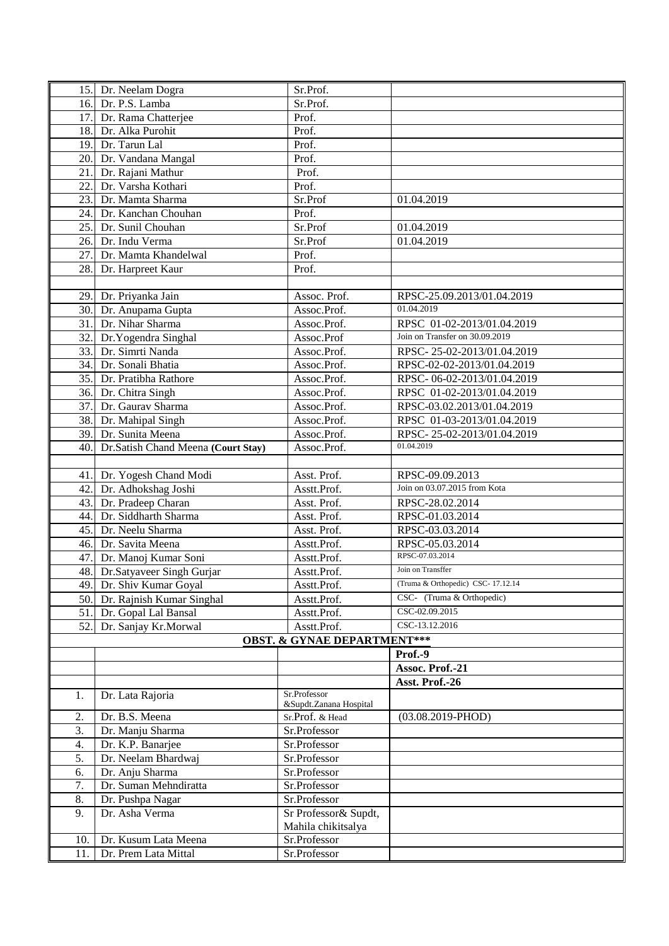|      | 15. Dr. Neelam Dogra                    | Sr.Prof.                               |                                                              |
|------|-----------------------------------------|----------------------------------------|--------------------------------------------------------------|
|      | 16. Dr. P.S. Lamba                      | Sr.Prof.                               |                                                              |
| 17.  | Dr. Rama Chatterjee                     | Prof.                                  |                                                              |
|      | 18. Dr. Alka Purohit                    | Prof.                                  |                                                              |
| 19.  | Dr. Tarun Lal                           | Prof.                                  |                                                              |
| 20.  | Dr. Vandana Mangal                      | Prof.                                  |                                                              |
| 21.  | Dr. Rajani Mathur                       | Prof.                                  |                                                              |
| 22.  | Dr. Varsha Kothari                      | Prof.                                  |                                                              |
| 23.  | Dr. Mamta Sharma                        | Sr.Prof                                | 01.04.2019                                                   |
| 24.  | Dr. Kanchan Chouhan                     | Prof.                                  |                                                              |
| 25.  | Dr. Sunil Chouhan                       | Sr.Prof                                | 01.04.2019                                                   |
|      | 26. Dr. Indu Verma                      |                                        | 01.04.2019                                                   |
| 27.  | Dr. Mamta Khandelwal                    | Sr.Prof<br>Prof.                       |                                                              |
|      |                                         |                                        |                                                              |
| 28.  | Dr. Harpreet Kaur                       | Prof.                                  |                                                              |
|      |                                         | Assoc. Prof.                           | RPSC-25.09.2013/01.04.2019                                   |
|      | 29. Dr. Priyanka Jain                   |                                        | 01.04.2019                                                   |
|      | 30. Dr. Anupama Gupta                   | Assoc.Prof.                            |                                                              |
|      | 31. Dr. Nihar Sharma                    | Assoc.Prof.                            | RPSC 01-02-2013/01.04.2019<br>Join on Transfer on 30.09.2019 |
| 32.  | Dr.Yogendra Singhal<br>Dr. Simrti Nanda | Assoc.Prof                             |                                                              |
| 33.  |                                         | Assoc.Prof.                            | RPSC-25-02-2013/01.04.2019                                   |
| 34.  | Dr. Sonali Bhatia                       | Assoc.Prof.                            | RPSC-02-02-2013/01.04.2019                                   |
| 35.  | Dr. Pratibha Rathore                    | Assoc.Prof.                            | RPSC-06-02-2013/01.04.2019                                   |
|      | 36. Dr. Chitra Singh                    | Assoc.Prof.                            | RPSC 01-02-2013/01.04.2019                                   |
| 37.  | Dr. Gaurav Sharma                       | Assoc.Prof.                            | RPSC-03.02.2013/01.04.2019                                   |
|      | 38. Dr. Mahipal Singh                   | Assoc.Prof.                            | RPSC 01-03-2013/01.04.2019                                   |
|      | 39. Dr. Sunita Meena                    | Assoc.Prof.                            | RPSC-25-02-2013/01.04.2019                                   |
| 40.1 | Dr.Satish Chand Meena (Court Stay)      | Assoc.Prof.                            | 01.04.2019                                                   |
|      |                                         |                                        |                                                              |
|      | 41. Dr. Yogesh Chand Modi               | Asst. Prof.                            | RPSC-09.09.2013                                              |
| 42.1 | Dr. Adhokshag Joshi                     | Asstt.Prof.                            | Join on 03.07.2015 from Kota                                 |
|      | 43. Dr. Pradeep Charan                  | Asst. Prof.                            | RPSC-28.02.2014                                              |
| 44.  | Dr. Siddharth Sharma                    | Asst. Prof.                            | RPSC-01.03.2014                                              |
|      | 45. Dr. Neelu Sharma                    | Asst. Prof.                            | RPSC-03.03.2014                                              |
|      | 46. Dr. Savita Meena                    | Asstt.Prof.                            | RPSC-05.03.2014                                              |
|      | 47. Dr. Manoj Kumar Soni                | Asstt.Prof.                            | RPSC-07.03.2014                                              |
|      | 48. Dr. Satyaveer Singh Gurjar          | Asstt.Prof.                            | Join on Transffer                                            |
|      | 49. Dr. Shiv Kumar Goyal                | Asstt.Prof.                            | (Truma & Orthopedic) CSC-17.12.14                            |
|      | 50. Dr. Rajnish Kumar Singhal           | Asstt.Prof.                            | CSC- (Truma & Orthopedic)                                    |
|      | 51. Dr. Gopal Lal Bansal                | Asstt.Prof.                            | CSC-02.09.2015                                               |
| 52.  | Dr. Sanjay Kr.Morwal                    | Asstt.Prof.                            | CSC-13.12.2016                                               |
|      |                                         | <b>OBST. &amp; GYNAE DEPARTMENT***</b> |                                                              |
|      |                                         |                                        | Prof.-9                                                      |
|      |                                         |                                        | Assoc. Prof.-21                                              |
|      |                                         | Sr.Professor                           | Asst. Prof.-26                                               |
| 1.   | Dr. Lata Rajoria                        | &Supdt.Zanana Hospital                 |                                                              |
| 2.   | Dr. B.S. Meena                          | Sr.Prof. & Head                        | $(03.08.2019 - PHOD)$                                        |
| 3.   | Dr. Manju Sharma                        | Sr.Professor                           |                                                              |
| 4.   | Dr. K.P. Banarjee                       | Sr.Professor                           |                                                              |
| 5.   | Dr. Neelam Bhardwaj                     | Sr.Professor                           |                                                              |
| 6.   | Dr. Anju Sharma                         | Sr.Professor                           |                                                              |
| 7.   | Dr. Suman Mehndiratta                   | Sr.Professor                           |                                                              |
| 8.   | Dr. Pushpa Nagar                        | Sr.Professor                           |                                                              |
| 9.   | Dr. Asha Verma                          | Sr Professor& Supdt,                   |                                                              |
|      |                                         | Mahila chikitsalya                     |                                                              |
| 10.  | Dr. Kusum Lata Meena                    | Sr.Professor                           |                                                              |
| 11.  | Dr. Prem Lata Mittal                    | Sr.Professor                           |                                                              |
|      |                                         |                                        |                                                              |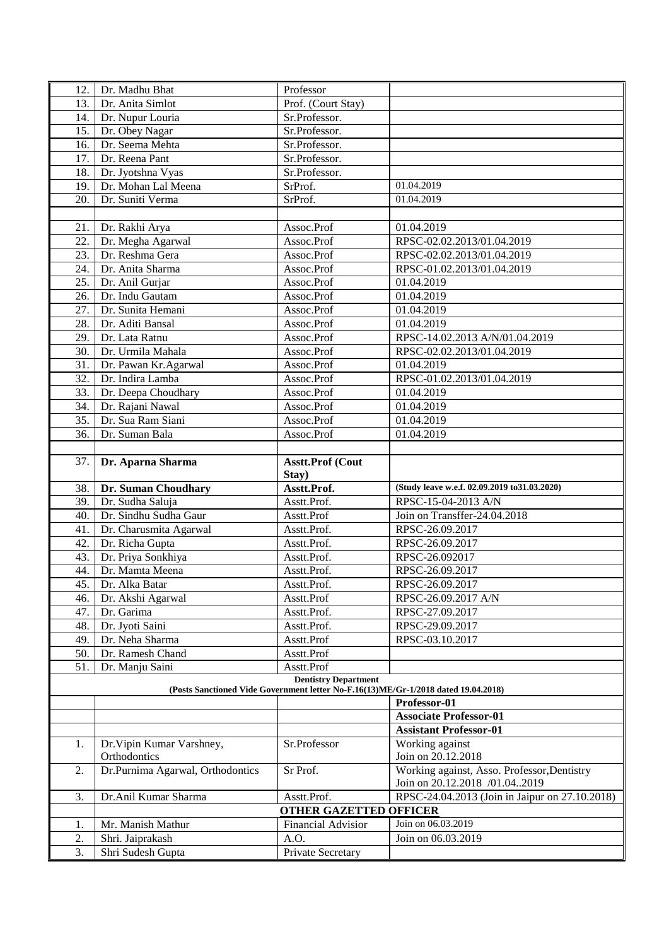| 12. | Dr. Madhu Bhat                            | Professor                        |                                                                                    |
|-----|-------------------------------------------|----------------------------------|------------------------------------------------------------------------------------|
| 13. | Dr. Anita Simlot                          | Prof. (Court Stay)               |                                                                                    |
| 14. | Dr. Nupur Louria                          | Sr.Professor.                    |                                                                                    |
| 15. | Dr. Obey Nagar                            | Sr.Professor.                    |                                                                                    |
| 16. | Dr. Seema Mehta                           | Sr.Professor.                    |                                                                                    |
| 17. | Dr. Reena Pant                            | Sr.Professor.                    |                                                                                    |
| 18. | Dr. Jyotshna Vyas                         | Sr.Professor.                    |                                                                                    |
| 19. | Dr. Mohan Lal Meena                       | SrProf.                          | 01.04.2019                                                                         |
| 20. | Dr. Suniti Verma                          | SrProf.                          | 01.04.2019                                                                         |
|     |                                           |                                  |                                                                                    |
| 21. | Dr. Rakhi Arya                            | Assoc.Prof                       | 01.04.2019                                                                         |
| 22. | Dr. Megha Agarwal                         | Assoc.Prof                       | RPSC-02.02.2013/01.04.2019                                                         |
| 23. | Dr. Reshma Gera                           | Assoc.Prof                       | RPSC-02.02.2013/01.04.2019                                                         |
| 24. | Dr. Anita Sharma                          | Assoc.Prof                       | RPSC-01.02.2013/01.04.2019                                                         |
| 25. | Dr. Anil Gurjar                           | Assoc.Prof                       | 01.04.2019                                                                         |
| 26. | Dr. Indu Gautam                           | Assoc.Prof                       | 01.04.2019                                                                         |
| 27. | Dr. Sunita Hemani                         | Assoc.Prof                       | 01.04.2019                                                                         |
| 28. | Dr. Aditi Bansal                          | Assoc.Prof                       | 01.04.2019                                                                         |
| 29. | Dr. Lata Ratnu                            | Assoc.Prof                       | RPSC-14.02.2013 A/N/01.04.2019                                                     |
| 30. | Dr. Urmila Mahala                         | Assoc.Prof                       | RPSC-02.02.2013/01.04.2019                                                         |
| 31. | Dr. Pawan Kr. Agarwal                     | Assoc.Prof                       | 01.04.2019                                                                         |
| 32. | Dr. Indira Lamba                          | Assoc.Prof                       | RPSC-01.02.2013/01.04.2019                                                         |
| 33. | Dr. Deepa Choudhary                       | Assoc.Prof                       | 01.04.2019                                                                         |
| 34. | Dr. Rajani Nawal                          | Assoc.Prof                       | 01.04.2019                                                                         |
| 35. | Dr. Sua Ram Siani                         | Assoc.Prof                       | 01.04.2019                                                                         |
| 36. | Dr. Suman Bala                            | Assoc.Prof                       | 01.04.2019                                                                         |
|     |                                           |                                  |                                                                                    |
| 37. | Dr. Aparna Sharma                         | <b>Asstt.Prof (Cout</b><br>Stay) |                                                                                    |
|     | 38. Dr. Suman Choudhary                   | Asstt.Prof.                      | (Study leave w.e.f. 02.09.2019 to 31.03.2020)                                      |
| 39. | Dr. Sudha Saluja                          | Asstt.Prof.                      | RPSC-15-04-2013 A/N                                                                |
| 40. | Dr. Sindhu Sudha Gaur                     | Asstt.Prof                       | Join on Transffer-24.04.2018                                                       |
| 41. | Dr. Charusmita Agarwal                    | Asstt.Prof.                      | RPSC-26.09.2017                                                                    |
| 42. | Dr. Richa Gupta                           | Asstt.Prof.                      | RPSC-26.09.2017                                                                    |
| 43. | Dr. Priya Sonkhiya                        | Asstt.Prof.                      | RPSC-26.092017                                                                     |
| 44. | Dr. Mamta Meena                           | Asstt.Prof.                      | RPSC-26.09.2017                                                                    |
|     | 45. Dr. Alka Batar                        | Asstt.Prof.                      | RPSC-26.09.2017                                                                    |
| 46. | Dr. Akshi Agarwal                         | Asstt.Prof                       | RPSC-26.09.2017 A/N                                                                |
| 47. | Dr. Garima                                | Asstt.Prof.                      | RPSC-27.09.2017                                                                    |
| 48. | Dr. Jyoti Saini                           | Asstt.Prof.                      | RPSC-29.09.2017                                                                    |
| 49. | Dr. Neha Sharma                           | Asstt.Prof                       | RPSC-03.10.2017                                                                    |
| 50. | Dr. Ramesh Chand                          | Asstt.Prof                       |                                                                                    |
| 51. | Dr. Manju Saini                           | Asstt.Prof                       |                                                                                    |
|     |                                           | <b>Dentistry Department</b>      | (Posts Sanctioned Vide Government letter No-F.16(13)ME/Gr-1/2018 dated 19.04.2018) |
|     |                                           |                                  | Professor-01                                                                       |
|     |                                           |                                  | <b>Associate Professor-01</b>                                                      |
|     |                                           |                                  | <b>Assistant Professor-01</b>                                                      |
| 1.  | Dr. Vipin Kumar Varshney,<br>Orthodontics | Sr.Professor                     | Working against<br>Join on 20.12.2018                                              |
| 2.  | Dr.Purnima Agarwal, Orthodontics          | Sr Prof.                         | Working against, Asso. Professor, Dentistry<br>Join on 20.12.2018 /01.042019       |
| 3.  | Dr.Anil Kumar Sharma                      | Asstt.Prof.                      | RPSC-24.04.2013 (Join in Jaipur on 27.10.2018)                                     |
|     |                                           | <b>OTHER GAZETTED OFFICER</b>    |                                                                                    |
| 1.  | Mr. Manish Mathur                         | <b>Financial Advisior</b>        | Join on 06.03.2019                                                                 |
| 2.  | Shri. Jaiprakash                          | A.O.                             | Join on 06.03.2019                                                                 |
| 3.  | Shri Sudesh Gupta                         | Private Secretary                |                                                                                    |
|     |                                           |                                  |                                                                                    |